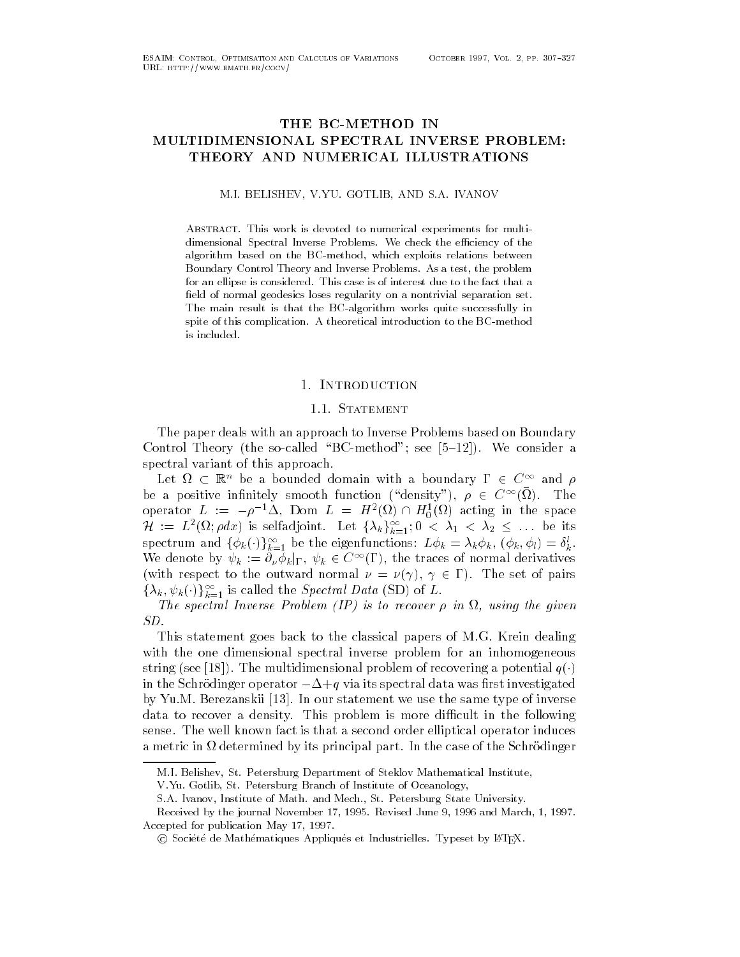# THE BC-METHOD IN MULTIDIMENSIONAL SPECTRAL INVERSE PROBLEM THEORY AND NUMERICAL ILLUSTRATIONS

### M-I- BELISHEV V-YU- GOTLIB AND S-A- IVANOV

ABSTRACT. This work is devoted to numerical experiments for multidimensional Spectral Inverse Problems- We check the eciency of the algorithm based on the BC-method, which exploits relations between Boundary Control Theory and Inverse Problems- As a test the problem for an ellipse is considered- This case is of interest due to the fact that a field of normal geodesics loses regularity on a nontrivial separation set. The main result is that the BC-algorithm works quite successfully in spite of this complication- A theoretical introduction to the BCmethod is included.

# 1. INTRODUCTION

The paper deals with an approach to Inverse Problems based on Boundary  $\blacksquare$  . The socialled BCmethod see  $\blacksquare$ spectral variant of this approach.

Let  $\Omega \subset \mathbb{R}^n$  be a bounded domain with a boundary  $\Gamma \in C^{\infty}$  and  $\rho$ be a positive infinitely smooth function ("density"),  $\rho \in C^{\infty}(\Omega)$ . The operator  $L := -\rho^{-1}\Delta$ , Dom  $L = H^2(\Omega) \cap H^1_0(\Omega)$  acting in the space  $\mathcal{H} \ := \ L^2(\Omega; \rho dx)$  is selfadjoint. Let  $\{\lambda_k\}_{k=1}^\infty, 0 \ < \ \lambda_1 \ < \ \lambda_2 \ \leq \ \ldots$  be its spectrum and  $\{\phi_k(\cdot)\}_{k=1}^\infty$  be the eigenfunctions:  $L\phi_k=\lambda_k\phi_k$ ,  $(\phi_k,\phi_l)=\delta^l_k$ . We denote by  $\psi_k := \partial_\nu \phi_k|_{\Gamma}, \ \psi_k \in C^\infty(\Gamma),$  the traces of normal derivatives (with respect to the outward normal  $\nu = \nu(\gamma), \gamma \in \Gamma$ ). The set of pairs  $\{\lambda_k, \psi_k(\cdot)\}_{k=1}^{\infty}$  is called the *Spectral Data* (SD) of L.

The spectral Inverse Problem -IP is to recover - in using the given

This statement goes back to the classical papers of M-G- Krein dealing with the one dimensional spectral inverse problem for an inhomogeneous string (see [18]). The multidimensional problem of recovering a potential  $q(\cdot)$ in the Schrödinger operator  $-\Delta + q$  via its spectral data was first investigated ry transition of the same property and same the same that the same of property and the same that it is a same o data to recover a density-dicult in the following in the following in the following  $\mathbf{d}$ sense-the well known fact is that a second order elliptical order elliptical operator induces the second order a metric in determined by its principal part- In the case of the Schrodinger

V-Yu- Gotlib St- Petersburg Branch of Institute of Oceanology

M-I- Belishev St- Petersburg Department of Steklov Mathematical Institute

S-A- Ivanov Institute of Math- and Mech- St- Petersburg State University-

received by the journal november is any meters where a mass of means where we are  $\sim$ Accepted for publication May 17, 1997.

 $\odot$  Société de Mathématiques Appliqués et Industrielles. Typeset by IATEX.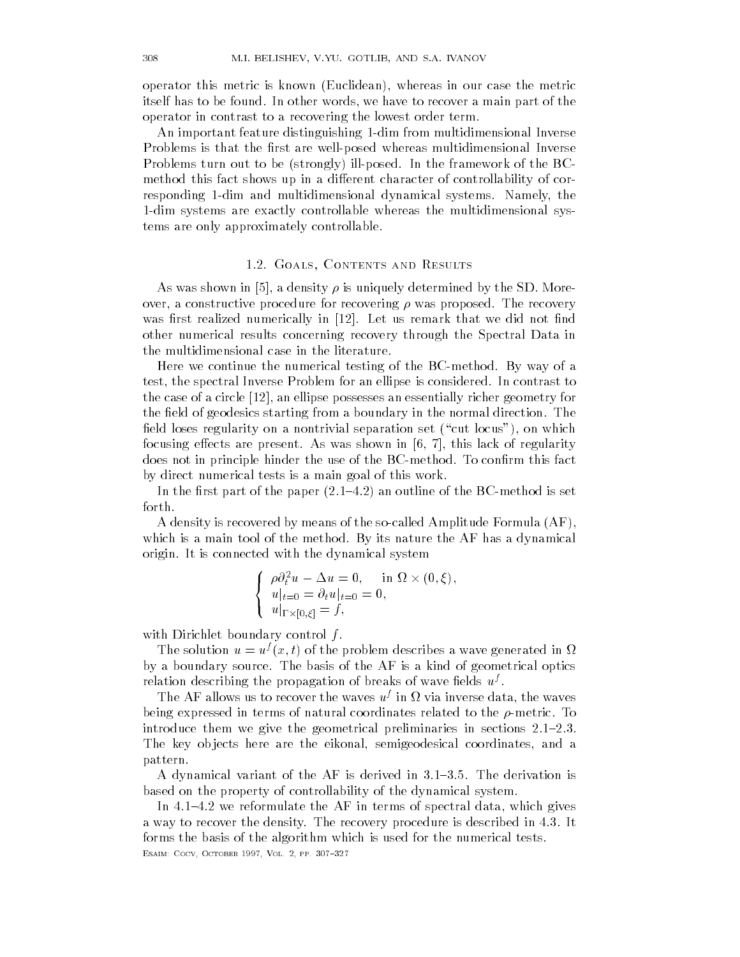operator this metric is known (Euclidean), whereas in our case the metric itself has to be found- In other words we have to recover a main part of the operator in contrast to a recovering the lowest order term-

An important feature distinguishing 1-dim from multidimensional Inverse Problems is that the first are well-posed whereas multidimensional Inverse  $\blacksquare$  is the framework of the framework of the framework of the  $\blacksquare$ method this fact shows up in a different character of controllability of corresponding dim and multidimensional dynamical systems- Namely the 1-dim systems are exactly controllable whereas the multidimensional systems are only approximately controllable-

### - - Contents and Results and Results and Results and Results and Results and Results and Results and Results and Results and Results and Results and Results and Results and Results and Results and Results and Results and R

 $\mathcal{A}$  and  $\mathcal{A}$  and  $\mathcal{A}$  are shown in  $\mathcal{A}$  and  $\mathcal{A}$  are shown in the SD-case of SD-case of SD-case of SD-case of SD-case of SD-case of SD-case of SD-case of SD-case of SD-case of SD-case of SD-case of SD over a constructive proposed-by proposed-by proposed-by-covering - was proposedwas realized numerically interesting in the control of the control of the control of the control of the control of the control of the control of the control of the control of the control of the control of the control of th other numerical results concerning recovery through the Spectral Data in the multidimensional case in the literature-

Here we continue the numerical testing of the BCmethod- By way of a test the spectral Inverse Problem for an ellipse is considered- In contrast to the case of a circle  $[12]$ , an ellipse possesses an essentially richer geometry for the eld of geodesics starting from a boundary in the normal direction- The field loses regularity on a nontrivial separation set ("cut locus"), on which focusing extension are present-width are present-width and  $\alpha$  this lack of  $\alpha$  regularity  $\alpha$ does not in principle hinder the use of the BCmethod- To conrm this fact by direct numerical tests is a main goal of this work-

In the rst part of the paper - - an outline of the BCmethod is set forth-

A density is recovered by means of the so-called Amplitude Formula  $(AF)$ , which is a main tool of the method-d-method-d-method-d-method-d-method-d-method-d-method-d-method-d-method-d-methodorigin- It is connected with the dynamical system

$$
\begin{cases}\n\rho \partial_t^2 u - \Delta u = 0, & \text{in } \Omega \times (0, \xi), \\
u|_{t=0} = \partial_t u|_{t=0} = 0, \\
u|_{\Gamma \times [0, \xi]} = f,\n\end{cases}
$$

with Dirichlet boundary control  $f$ .

The solution  $u = u^f(x, t)$  of the problem describes a wave generated in  $\Omega$ by a boundary source- The basis of the AF is a kind of geometrical optics relation describing the propagation of breaks of wave fields  $u^j$  .

The AF allows us to recover the waves  $u<sup>j</sup>$  in  $\Omega$  via inverse data, the waves being expressed in terms of natural coordinates related to the -metric- To introduce them we give the geometrical preliminaries in sections - --The key objects here are the eikonal, semigeodesical coordinates, and a pattern-

A dynamical variant of the AF is derived in - - - The derivation is based on the property of controllability of the dynamical system-

In - - we reformulate the AF in terms of spectral data which gives a way to recover the recovery procedure is described in - the recovery procedure is described in - the recover forms the basis of the algorithm which is used for the numerical testsesance cocopy a cocomet a cocy comet against the coc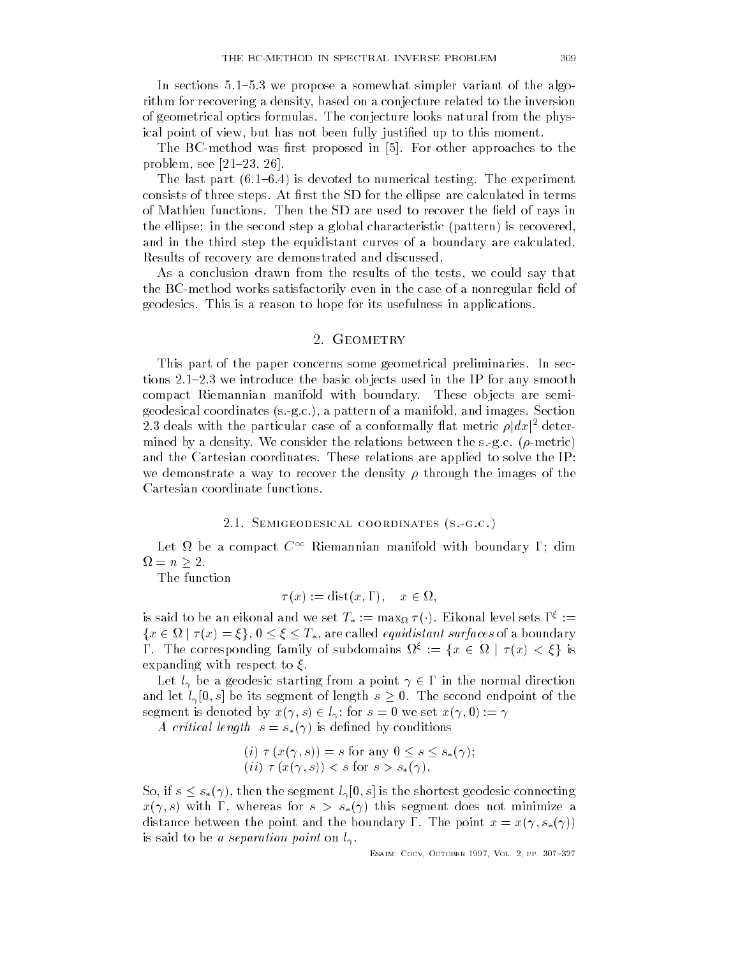In sections  $\mathbf{I}$  sections a somewhat simpler variant of the algorithm simpler variant of the algorithm simpler variant of the algorithm simpler variant of the algorithm simpler variant of the algorithm simpler variant rithm for recovering a density, based on a conjecture related to the inversion of geometrical optics formulas- The conjecture looks natural from the phys ical point of view, but has not been fully justified up to this moment.

The BCmethod was restricted in the BCmethod was restricted in the proposed in the BCM proposed in the BCM problem approaches to the BCM problem approaches to the BCM problem approaches to the BCM problem approaches to the  $\blacksquare$  - and - and - and - and - and - and - and - and - and - and - and - and - and - and - and - and - and - and - and - and - and - and - and - and - and - and - and - and - and - and - and - and - and - and - and - an

The last part - - is devoted to numerical testing- The experiment consists of three steps- At rst the SD for the ellipse are calculated in terms of Mathieu functions-weight  $\mathcal{M}$  are used to recover the eld of rays in the eld of rays in the eld of rays in the ellipse: in the second step a global characteristic (pattern) is recovered, and in the third step the equidistant curves of a boundary are calculated. Results of recovery are demonstrated and discussed-

As a conclusion drawn from the results of the tests, we could say that the BC-method works satisfactorily even in the case of a nonregular field of geodesics- This is a reason to hope for its usefulness in applications-

# 2. GEOMETRY

This part of the paper concerns some geometrical preliminaries- In sec tions - we introduce the basic ob jects used in the IP for any smooth in the IP for any smooth in the IP for a compact Riemannian manifold with boundary- These ob jects are semi  $\begin{array}{ccc} \bullet & \bullet & \bullet & \bullet & \bullet \end{array}$ 2.3 deals with the particular case of a conformally flat metric  $\rho |dx|^2$  determined by a density- We consider the relations between the s-g-c- -metric and the Cartesian coordinates- These relations are applied to solve the IP we demonstrate a way to recover the images of the images of the images of the images of the images of the images of the images of the images of the images of the images of the images of the images of the images of the ima Cartesian coordinate functions-

## -- Semigeodesical coordinates sgc

Let  $\Omega$  be a compact  $C^{\infty}$  Riemannian manifold with boundary  $\Gamma;$  dim  $\Omega = n \geq 2.$ 

The function

$$
\tau(x) := \text{dist}(x, \Gamma), \quad x \in \Omega,
$$

is said to be an eikonal and we set  $T_* := \max_\Omega \tau(\cdot)$ . Eikonal level sets  $\Gamma^\xi :=$  $\{x \in \Omega \mid \tau(x) = \xi\}, 0 \leq \xi \leq T_*,$  are called *equidistant surfaces* of a boundary  $\Gamma$ . The corresponding family of subdomains  $\Omega^{\xi} := \{x \in \Omega \mid \tau(x) < \xi\}$  is expanding with respect to  $\xi$ .

Let  $l_{\gamma}$  be a geodesic starting from a point  $\gamma \in \Gamma$  in the normal direction and let  $l_{\gamma}[0,s]$  be its segment of length  $s\geq 0$ . The second endpoint of the segment is denoted by  $x(\gamma, s) \in l_\gamma$ ; for  $s = 0$  we set  $x(\gamma, 0) := \gamma$ 

A critical length  $s = s_*(\gamma)$  is defined by conditions

$$
(i) \ \tau \ (x(\gamma, s)) = s \text{ for any } 0 \le s \le s_*(\gamma);
$$
  

$$
(ii) \ \tau \ (x(\gamma, s)) < s \text{ for } s > s_*(\gamma).
$$

So, if  $s \leq s_*(\gamma)$ , then the segment  $l_{\gamma}[0,s]$  is the shortest geodesic connecting  $x(\gamma, s)$  with  $\Gamma$ , whereas for  $s > s_*(\gamma)$  this segment does not minimize a distance between the point and the boundary  $\bf{r}$ . The point  $x = x_{\{1\}} \cdot x_{\{1\}}$ is said to be a separation point on a separation point on l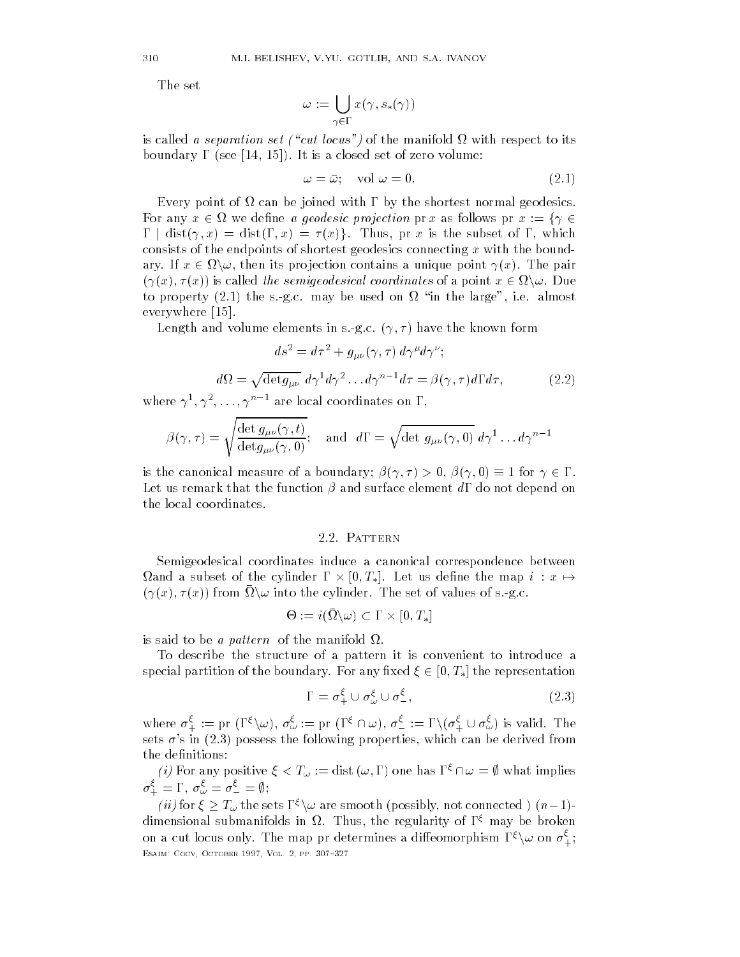$$
\omega:=\bigcup_{\gamma\in\Gamma}x(\gamma,s_*(\gamma))
$$

is called a separation set - cut locus of the manifold  $\mu$  - cut locus of the manifold  $\mu$ boundary is a close to the control of the control of zero volume  $\mathcal{S}$  and  $\mathcal{S}$  are control of zero volume  $\mathcal{S}$  and  $\mathcal{S}$  are control of  $\mathcal{S}$  and  $\mathcal{S}$  are control of  $\mathcal{S}$  and  $\mathcal{S}$  are control

$$
\omega = \bar{\omega}; \quad \text{vol } \omega = 0. \tag{2.1}
$$

Every point of  $\Omega$  can be joined with  $\Gamma$  by the shortest normal geodesics. For any  $x \in \Omega$  we define *a geodesic projection* pr x as follows pr  $x := \{ \gamma \in \Omega \}$  $\Gamma$  dist $(\gamma, x) = \text{dist}(\Gamma, x) = \tau(x)$ . Thus, pr x is the subset of  $\Gamma$ , which consists of the endpoints of shortest geodesics connecting  $x$  with the boundary. If  $x \in \Omega \backslash \omega$ , then its projection contains a unique point  $\gamma(x)$ . The pair  $(\gamma(x), \tau(x))$  is called the semigeodesical coordinates of a point  $x \in \Omega \backslash \omega$ . Due to property - the s-g-c- may be used on in the large i-e- almost everywhere  $[15]$ .

 $\mathbf{u}$  and volume elements in s-model and volume elements in s-model and volume  $\mathbf{u}$ 

$$
ds^2 = d\tau^2 + g_{\mu\nu}(\gamma,\tau)\ d\gamma^\mu d\gamma^\nu;
$$

$$
d\Omega = \sqrt{\det g_{\mu\nu}} \, d\gamma^1 d\gamma^2 \dots d\gamma^{n-1} d\tau = \beta(\gamma, \tau) d\Gamma d\tau, \tag{2.2}
$$

where  $\gamma^{\scriptscriptstyle +}, \gamma^{\scriptscriptstyle +}, \ldots, \gamma^{\scriptscriptstyle n-1}$  are local coordinates on 1,

$$
\beta(\gamma,\tau) = \sqrt{\frac{\det g_{\mu\nu}(\gamma,t)}{\det g_{\mu\nu}(\gamma,0)}}; \text{ and } d\Gamma = \sqrt{\det g_{\mu\nu}(\gamma,0)} d\gamma^1 \dots d\gamma^{n-1}
$$

is the canonical measure of a boundary;  $\beta(\gamma, \tau) > 0$ ,  $\beta(\gamma, 0) \equiv 1$  for  $\gamma \in \Gamma$ . Let us remark that the function  $\beta$  and surface element  $d\Gamma$  do not depend on the local coordinates-

Semigeodesical coordinates induce a canonical correspondence between  $\Omega$ and a subset of the cylinder  $\Gamma\times [0,T_*]$ . Let us define the map  $i\,:\,x\mapsto 0$  $(\gamma(x), \tau(x))$  from  $\Omega \setminus \omega$  into the cylinder. The set of values of s.-g.c.

$$
\Theta:=i(\bar{\Omega}\backslash\omega)\subset\Gamma\times[0,T_*]
$$

is said to be a pattern of the manifold  $\Omega$ .

To describe the structure of a pattern it is convenient to introduce a special partition of the boundary. For any fixed  $\xi \in [0, T_*]$  the representation

$$
\Gamma = \sigma_+^{\xi} \cup \sigma_{\omega}^{\xi} \cup \sigma_-^{\xi},\tag{2.3}
$$

where  $\sigma^{\xi}_{+} := \text{pr } (\Gamma^{\xi} \setminus \omega), \sigma^{\xi}_{\omega} := \text{pr } (\Gamma^{\xi} \cap \omega), \sigma^{\xi}_{-} := \Gamma \setminus (\sigma^{\xi}_{+} \cup \sigma^{\xi}_{\omega})$  is valid. The sets "s in - following properties which can be derived from the following properties which can be derived from

(*i*) For any positive  $\xi < T_\omega := \text{dist}(\omega, \Gamma)$  one has  $\Gamma^{\xi} \cap \omega = \emptyset$  what implies  $\sigma_+^{\xi} = \Gamma, \, \sigma_{\omega}^{\xi} = \sigma_{-}^{\xi} = \emptyset;$ 

(*ii*) for  $\xi \geq T_{\omega}$  the sets  $\Gamma^{\xi} \backslash \omega$  are smooth (possibly, not connected )  $(n-1)$ dimensional submanifolds in  $\Omega$ . Thus, the regularity of  $\Gamma$  -may be broken  $$ on a cut locus only. The map pr determines a diffeomorphism  $\Gamma^\xi \backslash \omega$  on  $\sigma_+^\xi;$ esance cocopy a cocomet a cocy comet against the coc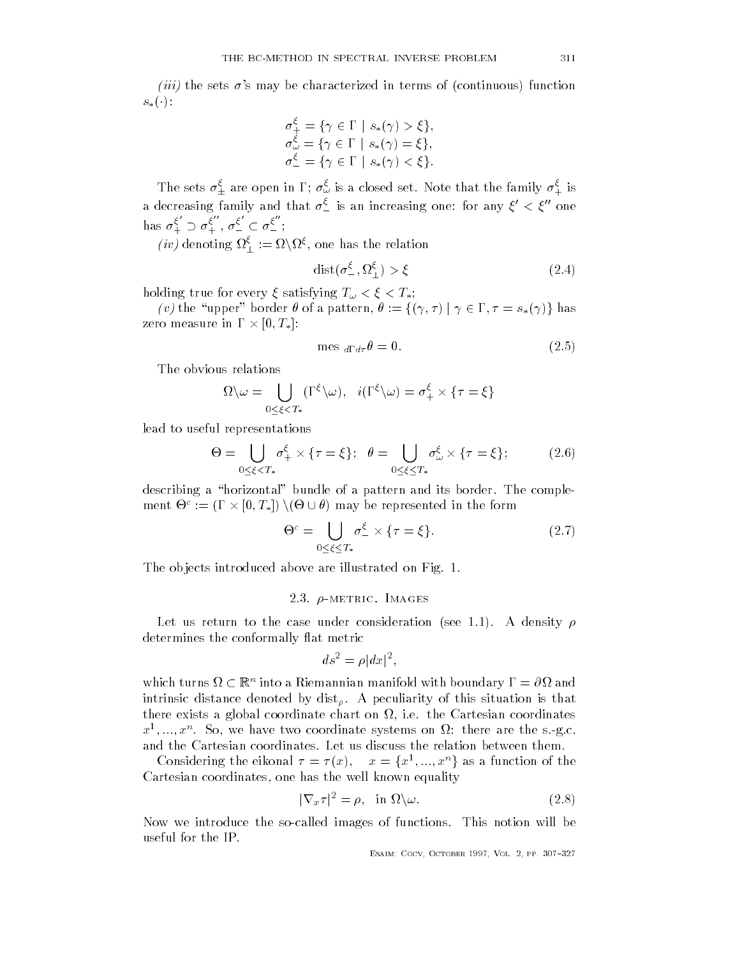ii the sets  $\mathbf{v}$  is a may be characterized in terms of continuous continuous continuous continuous continuous continuous continuous continuous continuous continuous continuous continuous continuous continuous continuo  $s_*(\cdot)$ :

$$
\sigma_{+}^{\xi} = \{ \gamma \in \Gamma \mid s_{*}(\gamma) > \xi \},
$$
  
\n
$$
\sigma_{\omega}^{\xi} = \{ \gamma \in \Gamma \mid s_{*}(\gamma) = \xi \},
$$
  
\n
$$
\sigma_{-}^{\xi} = \{ \gamma \in \Gamma \mid s_{*}(\gamma) < \xi \}.
$$

The sets  $\sigma^*_\pm$  are open in 1;  $\sigma^*_\omega$  is a closed set. Note that the family  $\sigma^*_+$  is a decreasing family and that  $\sigma_-^{\varsigma}$  is an increasing one: for any  $\xi'<\xi''$  one has  $\sigma_+^{\varsigma} \supset \sigma_+^{\varsigma}$  ,  $\epsilon$ + , - - $\frac{\varsigma}{\Box} \subset \sigma \frac{\varsigma}{\Box}$ ;

*(iv)* denoting  $\Omega_{\perp}^{\varsigma} := \Omega \backslash \Omega^{\varsigma}$ , one has the relation

$$
dist(\sigma^{\xi}_{-}, \Omega^{\xi}_{\perp}) > \xi \tag{2.4}
$$

 $\lim_{\alpha \to \infty}$  or use for every  $\zeta$  button  $\lim_{\alpha \to \infty}$   $\frac{1}{\alpha}$   $\leq$   $\zeta$   $\leq$   $\frac{1}{\alpha}$ ,

(v) the "upper" border  $\theta$  of a pattern,  $\theta := \{(\gamma, \tau) | \gamma \in \Gamma, \tau = s_*(\gamma)\}\$ has zero measure in  $\Gamma \times [0, T_*]$ :

$$
\text{mes }_{d\Gamma d\tau}\theta = 0. \tag{2.5}
$$

The obvious relations

s relations  
\n
$$
\Omega \backslash \omega = \bigcup_{0 \le \xi < T_*} (\Gamma^{\xi} \backslash \omega), \quad i(\Gamma^{\xi} \backslash \omega) = \sigma_+^{\xi} \times {\tau = \xi}
$$

lead to useful representations

$$
\Theta = \bigcup_{0 \le \xi < T_*} \sigma_+^{\xi} \times \{\tau = \xi\}; \quad \theta = \bigcup_{0 \le \xi \le T_*} \sigma_\omega^{\xi} \times \{\tau = \xi\}; \tag{2.6}
$$

describing a horizontal bundle of a pattern and its border- The comple ment  $\Theta^c := (\Gamma \times [0, T_*) \setminus (\Theta \cup \theta)$  may be represented in the form<br>  $\Theta^c = \bigcup \sigma_{\tau}^{\xi} \times \{\tau = \xi\}.$  (2.7)

$$
\Theta^c = \bigcup_{0 \le \xi \le T_*} \sigma_-^{\xi} \times \{\tau = \xi\}.
$$
 (2.7)

The ob jects introduced above are illustrated on Fig- -

### -metric Images in the contract of the contract of the contract of the contract of the contract of the contract of the contract of the contract of the contract of the contract of the contract of the contract of the contract

Let us return to the case under consideration see -- A density determines the conformally flat metric

$$
ds^2 = \rho |dx|^2,
$$

which turns  $\Omega \subset \mathbb{R}^n$  into a Riemannian manifold with boundary  $\Gamma = \partial \Omega$  and intrinsic distance denoted by dist - A peculiarity of this situation is that there exists a global coordinates a global coordinates chart on  $\mathbb{R}^n$  $x^2$ ,...,  $x^{\alpha}$ . So, we have two coordinate systems on  $\Omega$ : there are the s-g.c.

Considering the eikonal  $\tau = \tau(x)$ ,  $x = \{x^1, ..., x^n\}$  as a function of the Cartesian coordinates, one has the well known equality

$$
|\nabla_x \tau|^2 = \rho, \quad \text{in } \Omega \backslash \omega. \tag{2.8}
$$

 $\mathbf{N}$ useful for the IP.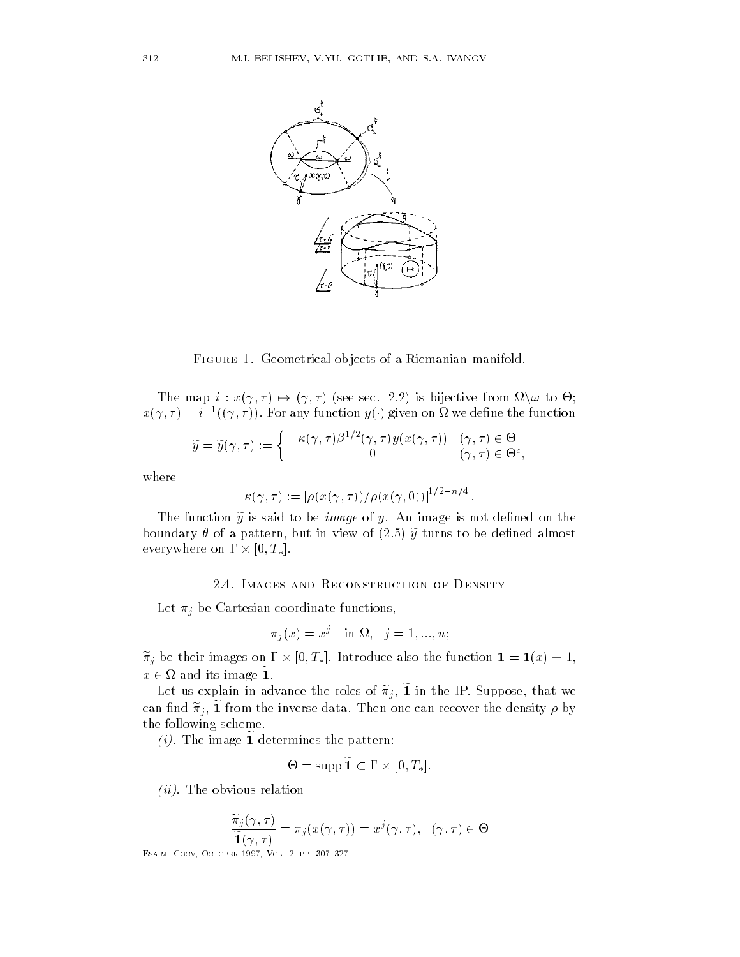

FIGURE 1. Geometrical objects of a Riemanian manifold.

The map  $i : x(\gamma, \tau) \mapsto$  $(\gamma, \tau)$  (see sec. 2.2) is bijective from  $\Omega \setminus \omega$  to  $\Theta$ ;  $x(\gamma,\tau)=i^{-1}((\gamma,\tau)).$  For any function  $y(\cdot)$  given on  $\Omega$  we define the function

$$
\widetilde{y} = \widetilde{y}(\gamma, \tau) := \begin{cases} \kappa(\gamma, \tau) \beta^{1/2}(\gamma, \tau) y(x(\gamma, \tau)) & (\gamma, \tau) \in \Theta \\ 0 & (\gamma, \tau) \in \Theta^c, \end{cases}
$$

where

$$
\kappa(\gamma,\tau) := \left[\rho(x(\gamma,\tau))/\rho(x(\gamma,0))\right]^{1/2-n/4}.
$$

The function  $\mathcal{A}$  is said to be image is not denote be image of  $\mathcal{A}$ boundary of a pattern but in view of - turns to be dened almost in view of - turns to be dened almost almost everywhere on  $\Gamma \times [0, T_*].$ 

 $\mathbf{I}$  be Cartesian coordinate functions functions functions functions functions functions functions functions functions functions functions functions functions functions functions functions functions functions function

$$
\pi_j(x) = x^j \quad \text{in } \Omega, \quad j = 1, \dots, n;
$$

 $\widetilde{\pi}_i$  be their images on  $\Gamma\times [0,T_*]$ . Introduce also the function  $\mathbf{1}=\mathbf{1}(x)\equiv 1,$  $x \in \Omega$  and its image 1.

Let us explain in advance the roles of  $\pi_i$ , 1 in the IP. Suppose, that we can find  $\pi_j$ , 1 from the inverse data. Then one can recover the density  $\rho$  by the following scheme.

 $(i)$ . The image 1 determines the pattern:

$$
\Theta = \operatorname{supp} \mathbf{1} \subset \Gamma \times [0,T_*].
$$

-ii- The obvious relation

$$
\frac{\widetilde{\pi}_j(\gamma,\tau)}{\widetilde{\mathbf{1}}(\gamma,\tau)} = \pi_j(x(\gamma,\tau)) = x^j(\gamma,\tau), \quad (\gamma,\tau) \in \Theta
$$

esance cocopy a cocomet a cocy comet against the coc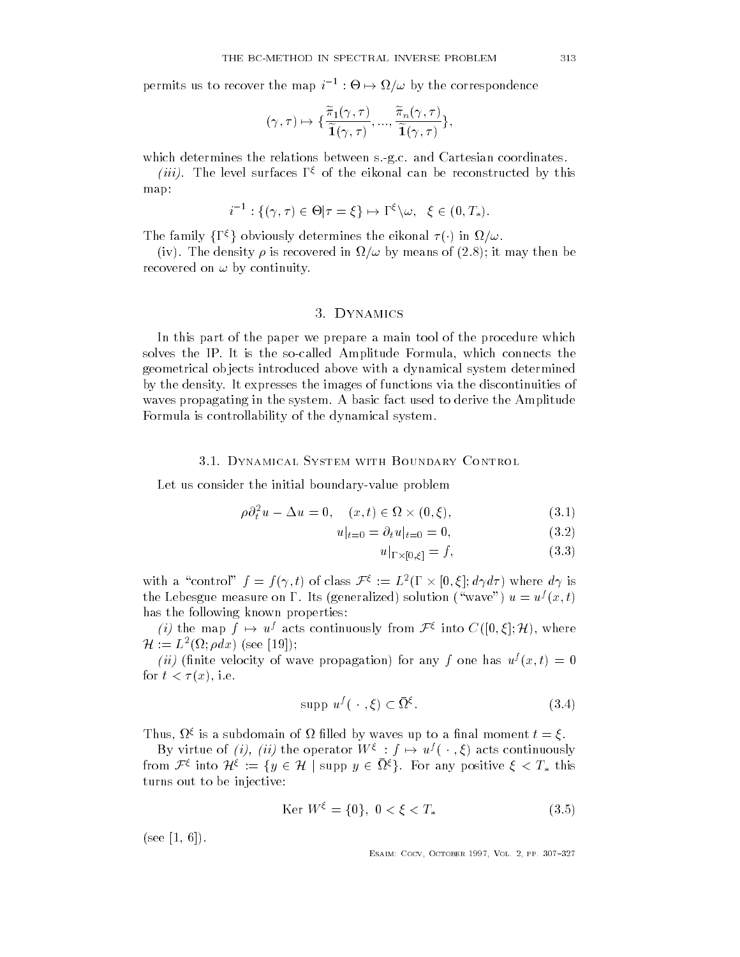permits us to recover the map  $i^{-1}:\Theta\mapsto\Omega$ ap  $i^{-1}: \Theta \mapsto \Omega/\omega$  by the correspondence<br>  $\widetilde{\pi}_1(\gamma, \tau) = \widetilde{\pi}_n(\gamma, \tau)$ .

$$
(\gamma, \tau) \mapsto \{\frac{\widetilde{\pi}_1(\gamma, \tau)}{\widetilde{1}(\gamma, \tau)}, ..., \frac{\widetilde{\pi}_n(\gamma, \tau)}{\widetilde{1}(\gamma, \tau)}\},\
$$

which determines the relations between s-g-c- and Cartesian coordinates-

*(iii)*. The level surfaces  $I \ge 0$  the eikonal can be reconstructed by this map:

$$
i^{-1}: \{(\gamma,\tau) \in \Theta | \tau = \xi\} \mapsto \Gamma^{\xi} \setminus \omega, \ \ \xi \in (0,T_*).
$$

The family  $\{\Gamma^{\xi}\}\$ obviously determines the eikonal  $\tau(\cdot)$  in  $\Omega/\omega$ .

ives the density of a stronger in the density of  $\mathbf{I}$ recovered on  $\omega$  by continuity.

### - Dynamics

In this part of the paper we prepare a main tool of the procedure which solves the IP- It is the socalled Amplitude Formula which connects the geometrical ob jects introduced above with a dynamical system determined by the density- It expresses the images of functions via the discontinuities of waves propagating in the system-basic fact used to derive the Amplitude to derive the Amplitude to derive the A Formula is controllability of the dynamical system-

### 3.1. DYNAMICAL SYSTEM WITH BOUNDARY CONTROL

Let us consider the initial boundary-value problem

$$
\rho \partial_t^2 u - \Delta u = 0, \quad (x, t) \in \Omega \times (0, \xi), \tag{3.1}
$$

$$
u|_{t=0} = \partial_t u|_{t=0} = 0,
$$
\n(3.2)

$$
u|_{\Gamma \times [0,\xi]} = f,\tag{3.3}
$$

with a "control"  $f = f(\gamma, t)$  of class  $\mathcal{F}^{\xi} := L^2(\Gamma \times [0, \xi]; d\gamma d\tau)$  where  $d\gamma$  is the Lebesgue measure on  $1$  . Its (generalized) solution (wave )  $u = u'(x, t)$ has the following known properties:

(*i*) the map  $f \mapsto u^f$  acts continuously from  $\mathcal{F}^{\xi}$  into  $C([0,\xi];\mathcal{H})$ , where  $\mathcal{H} := L^2(\Omega; \rho dx)$  (see [19]);

*(u)* (innite velocity of wave propagation) for any f one has  $u^j(x,t) = 0$ for the contract of the contract of the contract of the contract of the contract of the contract of the contract of the contract of the contract of the contract of the contract of the contract of the contract of the contra

$$
\text{supp } u^f(\,\cdot\,,\xi) \subset \bar{\Omega}^{\xi}.\tag{3.4}
$$

I mus,  $w_1$  is a subdomain of  $\overline{u}$  miled by waves up to a linal moment  $\iota = \xi$ .

By virtue of *(i)*, *(ii)* the operator  $W^{\xi}$  :  $f \mapsto u^{f}(\cdot, \xi)$  acts continuously from  $\mathcal{F}^{\xi}$  into  $\mathcal{H}^{\xi} := \{y \in \mathcal{H} \mid \text{supp } y \in \Omega^{\xi}\}\$ . For any positive  $\xi < T_*$  this turns out to be injective

$$
\text{Ker } W^{\xi} = \{0\}, \ 0 < \xi < T_* \tag{3.5}
$$

 $(see [1, 6]).$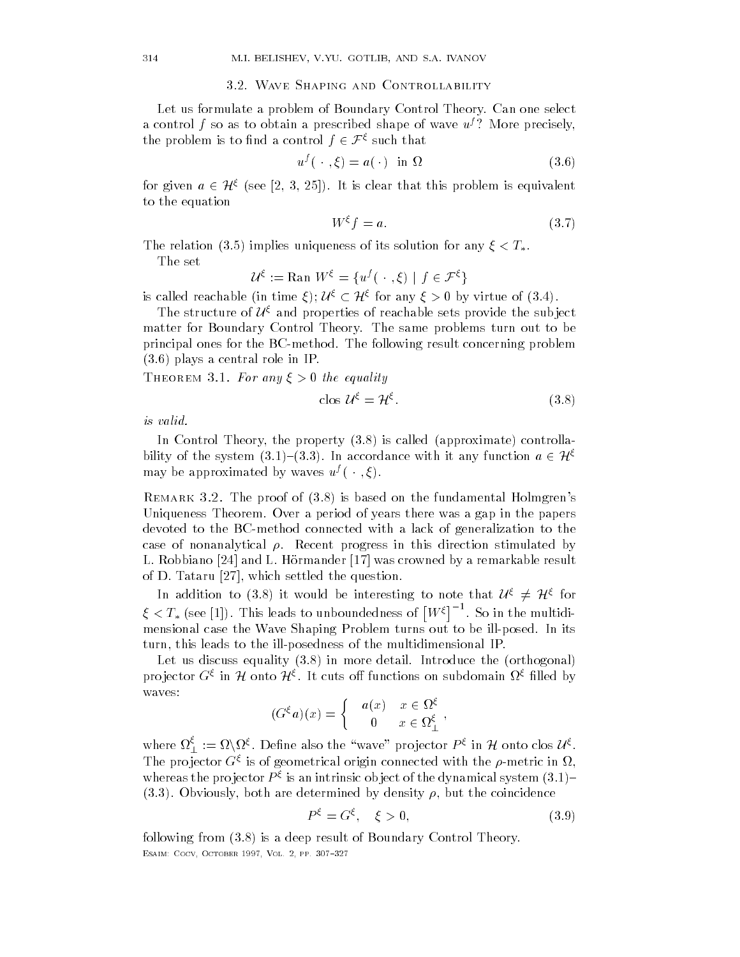### 3.2. WAVE SHAPING AND CONTROLLABILITY

Let us formulate a problem of Boundary Control Theory- Can one select Let us formulate a problem of Boundary Control Theory. Can one select<br>a control f so as to obtain a prescribed shape of wave  $u^f$ ? More precisely,<br>the precisely is to find a control f  $\in \mathcal{F}^{\xi}$  such that the problem is to find a control  $f \in \mathcal{F}^\zeta$  such that

$$
u^f(\cdot,\xi) = a(\cdot) \quad \text{in } \Omega \tag{3.6}
$$

 $u^f(\,\cdot\,,\xi)=a(\,\cdot\,)$  in  $\Omega$  (3.6)<br>for given  $a\in\mathcal{H}^\xi$  (see [2, 3, 25]). It is clear that this problem is equivalent to the equation

$$
W^{\xi}f = a.\tag{3.7}
$$

The relation (3.5) implies uniqueness of its solution for any  $\xi < T_*$ .<br>The set  $\mathcal{U}^{\xi}$  is  $\text{Rg} \times \mathbf{M}^{\xi}$  for  $(\xi(\xi), \xi) \in \mathcal{F}^{\xi}$ 

The set

 $\mathcal{U}^{\xi} := \text{Ran } W^{\xi} = \{u^{f}(\cdot\cdot,\xi) \mid f \in \mathcal{X}\}$ 

The set<br>  $\mathcal{U}^{\xi} := \text{Ran } W^{\xi} = \{ u^{f}(\ \cdot\ , \xi) \mid f \in \mathcal{F}^{\xi} \}$ <br>
is called reachable (in time  $\xi$ );  $\mathcal{U}^{\xi} \subset \mathcal{H}^{\xi}$  for any  $\xi > 0$  by virtue of (3.4).

The structure of  $\mathcal{U}^\xi$  and properties of reachable sets provide the subject matter for Boundary Control Theory- The same problems turn out to be principal ones for the BCmethod- The following result concerning problem - plays a central role in IP-

THEOREM 3.1. For any  $\xi > 0$  the equality

$$
\cos \mathcal{U}^{\xi} = \mathcal{H}^{\xi}.\tag{3.8}
$$

is valid

valid.<br>In Control Theory, the property (3.8) is called (approximate) controlla-<br>its of the system (3.1) (3.3). In accordance with it are function a 6.36 bility of the system  $(3.1)$ – $(3.3)$ . In accordance with it any function  $a \in \mathcal{Y}$ may be approximated by waves  $u^f(\cdot, \xi)$ .

Remark The proof of - is based on the fundamental Holmgren"s Uniqueness Theorem- Over a period of years there was a gap in the papers devoted to the BC-method connected with a lack of generalization to the case of nonanalytical -- Recent progress in this direction stimulated by L- Robbiano  and L- Hormander  was crowned by a remarkable result of D- Tataru  which settled the question-

In addition to (3.8) it would be interesting to note that  $\mathcal{U}^{\xi} \neq \mathcal{H}^{\xi}$  for  $\xi < T_*$  (see [1]). This leads to unboundedness of  $\lceil W^\xi \rceil^{-1}$ . So in the multidimensional case the Wave Shaping Problem turns out to be illposed- In its turn, this leads to the ill-posedness of the multidimensional IP.

Let us discuss equality - in more detail- Introduce the orthogonal projector  $G^{\xi}$  in H onto  $\mathcal{H}^{\xi}$ . It cuts off functions on subdomain  $\Omega^{\xi}$  filled by

$$
(G^{\xi}a)(x) = \begin{cases} a(x) & x \in \Omega^{\xi} \\ 0 & x \in \Omega^{\xi}_{\perp} \end{cases},
$$

where  $\Omega_{\perp}^{\varsigma}:=\Omega\backslash\Omega^{\xi}.$  Define also the "wave" projector  $P^{\xi}$  in  ${\mathcal H}$  onto clos  ${\mathcal U}^{\xi}.$ The projector  $G^s$  is of geometrical origin connected with the  $\rho$ -metric in  $\Omega$ , whereas the projector  $P$  s is an intrinsic object of the dynamical system  $(3.1)^\perp$ -- Obviously both are determined by density - but the coincidence

$$
P^{\xi} = G^{\xi}, \quad \xi > 0,\tag{3.9}
$$

following from - is a deep result of Boundary Control Theoryesance cocopy a cocomet a cocy comet against the coc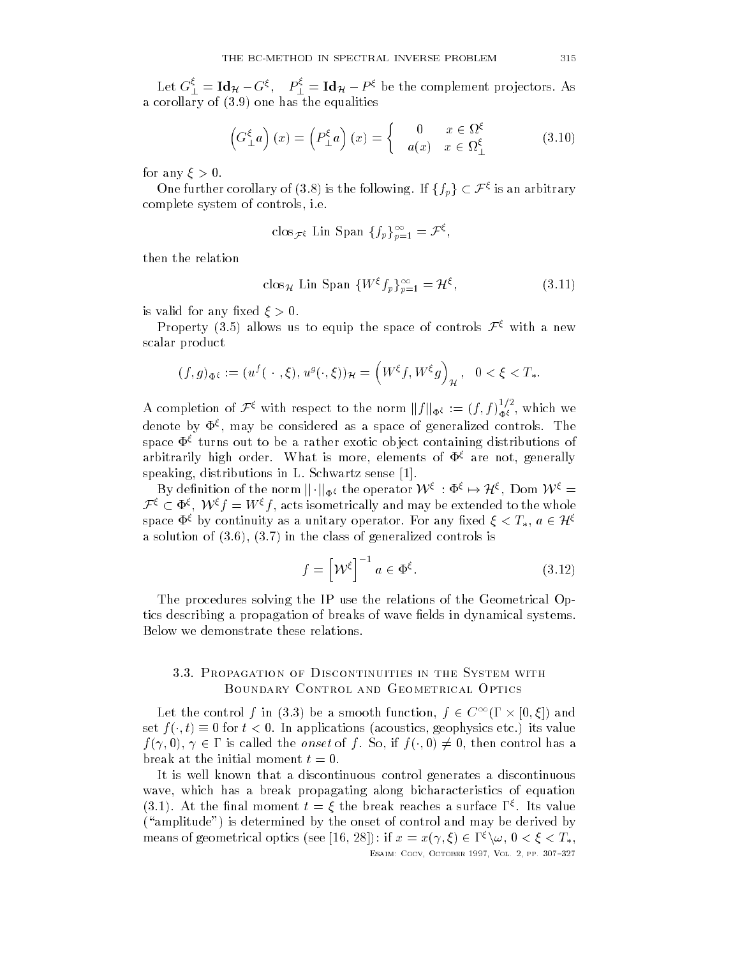Let  $G_{\perp}^{\varsigma} = \text{Id}_{\mathcal{H}} - G^{\varsigma}, \quad P_{\perp}^{\varsigma} = \text{Id}_{\mathcal{H}} - P^{\varsigma}$  be the complement projectors. As and the equalities of  $\mathcal{A}$  -corollary of  $\mathcal{A}$  -corollary of  $\mathcal{A}$  -corollary of  $\mathcal{A}$ 

$$
\left(G_{\perp}^{\xi}a\right)(x) = \left(P_{\perp}^{\xi}a\right)(x) = \begin{cases} 0 & x \in \Omega^{\xi} \\ a(x) & x \in \Omega^{\xi}_{\perp} \end{cases}
$$
 (3.10)

for any  $\xi > 0$ .

One further corollary of (3.8) is the following. If  $\{f_p\}\subset\mathcal{F}^\xi$  is an arbitrary complete system of controls i-controls i-controls i-controls i-controls i-controls i-controls i-controls i-con

$$
\operatorname{clos}_{\mathcal{F}^{\xi}} \operatorname{Lin} \operatorname{Span} \{ f_p \}_{p=1}^{\infty} = \mathcal{F}^{\xi},
$$

then the relation

$$
\cos_{\mathcal{H}} \text{ Lin Span } \{W^{\xi} f_p\}_{p=1}^{\infty} = \mathcal{H}^{\xi},\tag{3.11}
$$

is valid for any fixed  $\xi > 0$ .

Property (3.5) allows us to equip the space of controls  $\mathcal{F}^{\xi}$  with a new scalar product

$$
(f,g)_{\Phi^{\xi}} := (u^f(\cdot,\xi),u^g(\cdot,\xi))_{\mathcal{H}} = (W^{\xi}f,W^{\xi}g)_{\mathcal{H}}, \quad 0 < \xi < T_*.
$$

A completion of  $\mathcal{F}^{\xi}$  with respect to the norm  $||f||_{\Phi^{\xi}} := (f, f)_{\Phi^{\xi}}^{1/2}$ , which we denote by  $\mathbf{\Psi}^s$ , may be considered as a space of generalized controls. The space  $\Phi^{\xi}$  turns out to be a rather exotic object containing distributions of arbitrarily high order. What is more, elements of  $\Phi^{\xi}$  are not, generally<br>speaking, distributions in L. Schwartz sense [1].<br> $B_{\text{H}}$  definition of the norm  $|| \cdot ||_{\text{H}}$  the operator  $\mathcal{W}^{\xi}$  of  $\mathcal{S}^{\xi}$  of  $\$ speaking distributions in L-S-and-A-schwartz sense in L-S-and-A-schwartz sense in L-S-and-A-schwartz sense in Lbitrarily high order. What is more, elements of  $\Phi^{\xi}$  are not, generally eaking, distributions in L. Schwartz sense [1].<br>By definition of the norm  $\|\cdot\|_{\Phi^{\xi}}$  the operator  $\mathcal{W}^{\xi} : \Phi^{\xi} \mapsto \mathcal{H}^{\xi}$ , Dom  $\mathcal{$ 

By definition of the norm  $||\cdot||_{\Phi^{\xi}}$  the operator  $W^{\xi} : \Phi^{\xi} \to \mathcal{H}^{\xi}$ , Dom  $W^{\xi} =$ <br>  $\mathcal{F}^{\xi} \subset \Phi^{\xi}$ ,  $W^{\xi} f = W^{\xi} f$ , acts isometrically and may be extended to the whole space  $\Phi^\zeta$  by continuity as a unitary operator. For any fixed  $\xi < T_*,\, a\in\mathcal{H}$ a solution of  $\mathbf{S}$  -class of  $\mathbf{S}$ 

$$
f = \left[ \mathcal{W}^{\xi} \right]^{-1} a \in \Phi^{\xi}.
$$
 (3.12)

esant coco october etti, coco ejitti etti ter

The procedures solving the IP use the relations of the Geometrical Op tics describing a propagation of breaks of wave fields in dynamical systems. Below we demonstrate these relations-

# Boundary Control and Geometrical Optics

Let the control f in (3.3) be a smooth function,  $f \in C^{\infty}(\Gamma \times [0,\xi])$  and set  $f(\cdot,t) \equiv 0$  for  $t < 0$ . In applications (acoustics, geophysics etc.) its value  $f(\gamma,0), \gamma \in \Gamma$  is called the *onset* of f. So, if  $f(\cdot,0) \neq 0$ , then control has a break at the initial moment  $t = 0$ .

It is well known that a discontinuous control generates a discontinuous wave, which has a break propagating along bicharacteristics of equation (3.1). At the final moment  $t = \xi$  the break reaches a surface 1  $^{\circ}$ . Its value ("amplitude") is determined by the onset of control and may be derived by means of geometrical optics (see [16, 28]): if  $x = x(\gamma, \xi) \in \Gamma^{\xi} \backslash \omega$ ,  $0 < \xi < T_*,$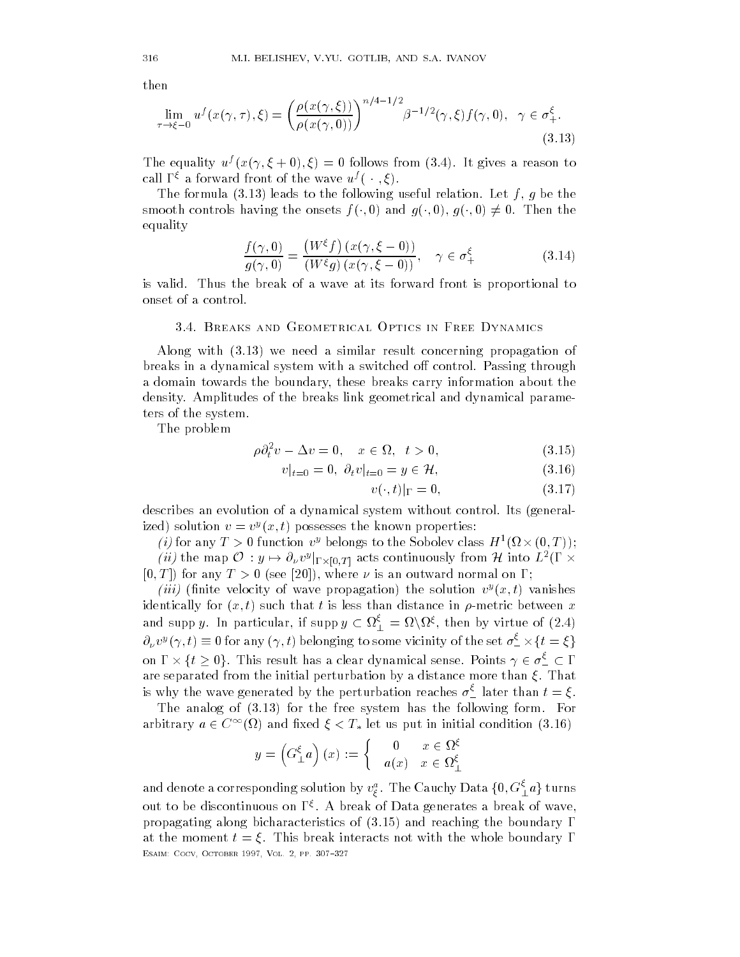then

$$
\lim_{\tau \to \xi - 0} u^f(x(\gamma, \tau), \xi) = \left(\frac{\rho(x(\gamma, \xi))}{\rho(x(\gamma, 0))}\right)^{n/4 - 1/2} \beta^{-1/2}(\gamma, \xi) f(\gamma, 0), \quad \gamma \in \sigma_+^{\xi}.
$$
\n(3.13)

The equality  $u^*(x(\gamma, \xi + 0), \xi) = 0$  follows from (5.4). It gives a reason to call  $\Gamma^{\xi}$  a forward front of the wave  $u^{f}(\cdot,\xi)$ .

 $\mathbf{f}$  is the following useful relation-to-the following useful relation-to-the following useful relation-to-the following useful relations of  $\mathbf{f}$ smooth controls having the onsets  $f(\cdot,0)$  and  $g(\cdot,0)$ ,  $g(\cdot,0) \neq 0$ . Then the equality

$$
\frac{f(\gamma,0)}{g(\gamma,0)} = \frac{(W^{\xi}f)(x(\gamma,\xi-0))}{(W^{\xi}g)(x(\gamma,\xi-0))}, \quad \gamma \in \sigma_{+}^{\xi}
$$
\n(3.14)

is valid- Thus the break of a wave at its forward front is proportional to onset of a control-

Along with - we need a similar result concerning propagation of breaks in a dynamical system with a switched o control- Passing through a domain towards the boundary, these breaks carry information about the density-breaks link geometrical and dynamical and dynamical parametrical parameteristics link geometrical para ters of the system-

The problem

$$
\rho \partial_t^2 v - \Delta v = 0, \quad x \in \Omega, \quad t > 0,
$$
  
\n
$$
v|_{t=0} = 0, \quad \partial_t v|_{t=0} = y \in \mathcal{H}.
$$
  
\n(3.16)

$$
v|_{t=0} = 0, \ \partial_t v|_{t=0} = y \in \mathcal{H}, \tag{3.16}
$$

$$
v(\cdot, t)|_{\Gamma} = 0,\t\t(3.17)
$$

describes an evolution of a dynamical system without control- Its general ized) solution  $v = v^y(x, t)$  possesses the known properties:

(*i*) for any  $T > 0$  function  $v^y$  belongs to the Sobolev class  $H^1(\Omega \times (0,T))$ ; (*ii*) the map  $\mathcal{O} : y \mapsto$  $\partial_\nu v^y|_{\Gamma\times [0,T]}$  acts continuously from  ${\mathcal H}$  into  $L^2(\Gamma\times \mathbb{R})$ [0, T]) for any  $T > 0$  (see [20]), where  $\nu$  is an outward normal on  $\Gamma$ ;

*(iii)* (iiiiite velocity of wave propagation) the solution  $v^s(x,t)$  vanishes identically for x that the such that the such that the such that the such than distance in - metric between x t and supp  $y$ . In particular, if supp  $y\,\subset \Omega^\varsigma_\bot = \Omega\backslash\Omega^\xi,$  then by virtue of  $(2.4)$  $\partial_\nu v^y(\gamma,t)\equiv 0$  for any  $(\gamma,t)$  belonging to some vicinity of the set  $\sigma^{\varsigma}_-\times\{t=\xi\}$ and supp y. In p $\partial_\nu v^y(\gamma,t)\equiv 0\text{ for}\nonumber\ \ln\Gamma\times\{t\geq 0\}.$  T This result has a clear dynamical sense. Points  $\gamma \in \sigma_-^\varsigma \subset \Gamma$ are separated from the initial perturbation by a distance more than  $\mathcal{S}$  distance more than  $\mathcal{S}$ is why the wave generated by the perturbation reaches  $\sigma^>_-$  later than  $t=\xi$  .

The analog of - for the free system has the following form- For arbitrary  $a\in C^\infty(\Omega)$  and fixed  $\xi < T_*$  let us put in initial condition  $(3.16)$ 

$$
y = \left(G_{\perp}^{\xi} a\right)(x) := \begin{cases} 0 & x \in \Omega^{\xi} \\ a(x) & x \in \Omega^{\xi} \end{cases}
$$

and denote a corresponding solution by  $v_{\xi}^a$  . The Cauchy Data  $\{0, G_{\bot}^{\varsigma} a\}$  turns out to be discontinuous on 1 s. A break of Data generates a break of wave,  $\,$  $\mathbf{r}$  and reaching bic  $\mathbf{r}$  and  $\mathbf{r}$  and  $\mathbf{r}$ at the moment t  $\alpha$  , which is the moment interaction the with the whole boundary with the whole  $\alpha$ esance cocopy a cocomet a cocy comet against the coc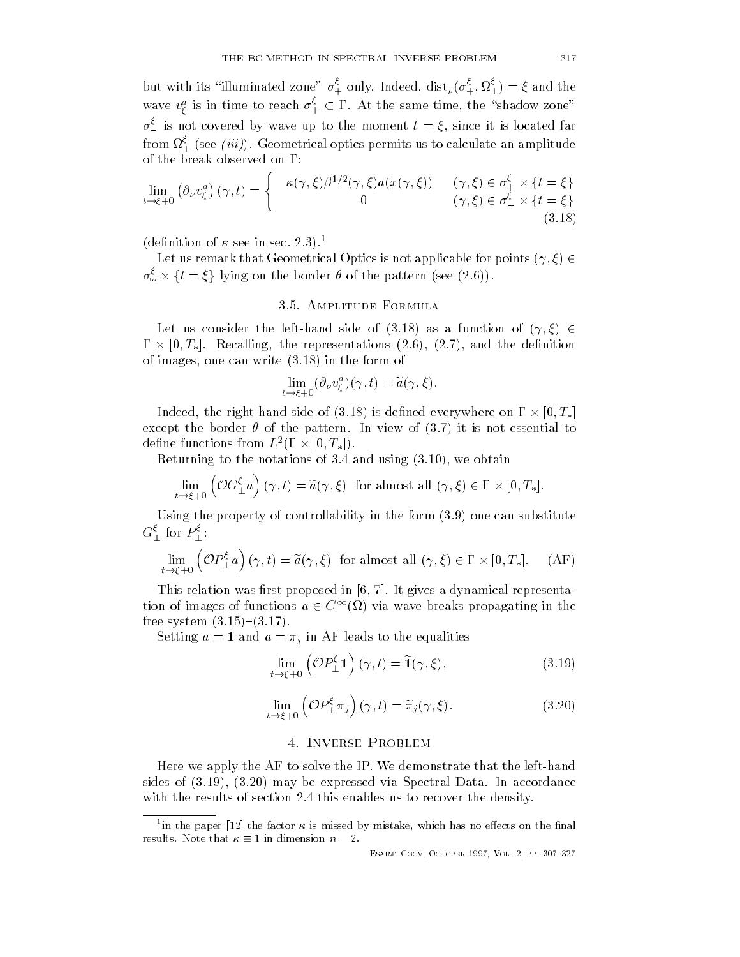but with its "illuminated zone"  $\sigma^*_+$  only. Indeed,  ${\rm dist}_\rho(\sigma^*_+, \Omega^*_\bot) = \xi$  and the wave  $v_{\xi}^{a}$  is in time to reach  $\sigma_{+}^{\varsigma}\subset\Gamma.$  At the same time, the "shadow zone"  $\sigma^{\ast}_{-}$  is not covered by wave up to the moment  $t=\xi,$  since it is located far from  $\Omega^*_\bot$  (see  $(n\imath\jmath)$ . Geometrical optics permits us to calculate an amplitude  $\frac{\xi}{4} \times \{t = \xi\}$ 

$$
\lim_{t \to \xi + 0} \left( \partial_{\nu} v_{\xi}^{a} \right) (\gamma, t) = \begin{cases} \kappa(\gamma, \xi) \beta^{1/2}(\gamma, \xi) a(x(\gamma, \xi)) & (\gamma, \xi) \in \sigma_{+}^{\xi} \times \{t = \xi\} \\ 0 & (\gamma, \xi) \in \sigma_{-}^{\xi} \times \{t = \xi\} \end{cases}
$$
\n(3.18)

 $\mu$  (denition of  $\kappa$  see in sec.  $\angle$  .).

Let us remark that Geometrical Optics is not applicable for points  $(\gamma, \xi) \in$ (definition of  $\kappa$  see in sec. 2.3).<sup>1</sup><br>Let us remark that Geometrical Optics is not applicable for<br> $\sigma_{\omega}^{\xi} \times \{t = \xi\}$  lying on the border  $\theta$  of the pattern (see (2.6)).

Let us consider the left-hand side of (3.18) as a function of  $(\gamma,\xi)\,\in$  $\Gamma \times [0,T_*]$ . Recalling, the representations (2.6), (2.7), and the definition of images one can write a set of the form of the form of the form of the form of the form of the form of the f

$$
\lim_{t \to \xi + 0} (\partial_{\nu} v_{\xi}^{a})(\gamma, t) = \widetilde{a}(\gamma, \xi).
$$

Indeed, the right-hand side of (3.18) is defined everywhere on  $\Gamma\times [0,T_*]$ except the border of the pattern-border in view of the pattern-border in view of  $\mathbf{I}$ define functions from  $L^2(\Gamma\times [0,T_*]).$ 

 $R$ eturning to the notations of - and using - and using - and using - and using - and using - and using - and using - and using - and using - and using - and using - and using - and using - and using - and using - and usi

$$
\lim_{t \to \xi + 0} \left( \mathcal{O}G_{\perp}^{\xi} a \right) (\gamma, t) = \widetilde{a}(\gamma, \xi) \text{ for almost all } (\gamma, \xi) \in \Gamma \times [0, T_*].
$$

Using the property of controllability in the form -#
 one can substitute  $G_{\perp}$  for  $P_{\perp}$ :

$$
\lim_{t \to \xi + 0} \left( \mathcal{O}P_{\perp}^{\xi} a \right) (\gamma, t) = \tilde{a}(\gamma, \xi) \text{ for almost all } (\gamma, \xi) \in \Gamma \times [0, T_*]. \tag{AF}
$$

This relation was relation was relationships and  $\alpha$  and  $\alpha$  representations are proposed in  $\alpha$ tion of images of functions  $a \in C^{\infty}(\Omega)$  via wave breaks propagating in the from the system of the system of the system of the system of the system of the system of the system of the sys

Setting  $a = 1$  and  $a = \pi_j$  in AF leads to the equalities

$$
\lim_{t \to \xi + 0} \left( \mathcal{O}P_{\perp}^{\xi} \mathbf{1} \right) (\gamma, t) = \widetilde{\mathbf{1}}(\gamma, \xi), \tag{3.19}
$$

$$
\lim_{t \to \xi + 0} \left( \mathcal{O}P_{\perp}^{\xi} \pi_j \right) (\gamma, t) = \tilde{\pi}_j(\gamma, \xi). \tag{3.20}
$$

# 4. INVERSE PROBLEM

Here we apply the AF to solve the IP- We demonstrate that the lefthand sides of -#
 - may be expressed via Spectral Data- In accordance with the results of section - the this enable section and the density-

<sup>&</sup>lt;sup>1</sup> in the paper [12] the factor  $\kappa$  is missed by mistake, which has no effects on the final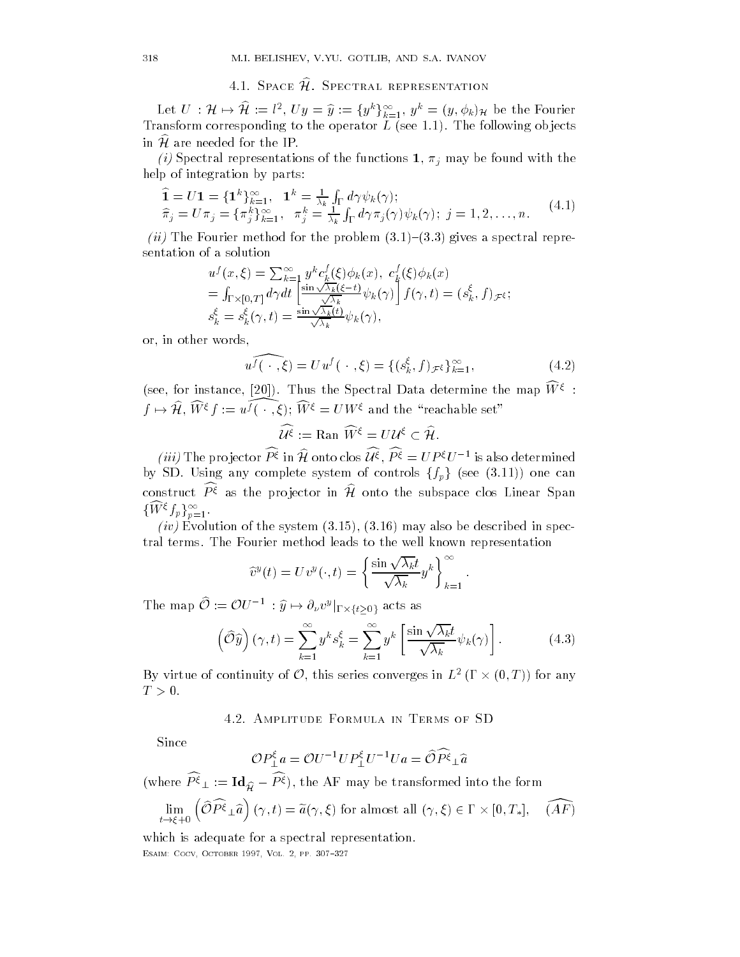# 4.1. Space  $\widehat{\mathcal{H}}$ . Spectral representation

Let  $U~: {\cal H} \mapsto {\cal H} := l^2, ~Uy = \widehat{y} := \{y^k\}_{k=1}^\infty, ~y^k = (y, \phi_k)_{{\cal H}}$  be the Fourier  $\Gamma$  to the corresponding to the operator L see -  $\Gamma$ in  $H$  are needed for the IP.

*(i)* Spectral representations of the functions  $\mathbf{1}, \pi_j$  may be found with the help of integration by parts:

$$
\begin{aligned}\n\widehat{\mathbf{1}} &= U\mathbf{1} = \{\mathbf{1}^k\}_{k=1}^\infty, \quad \mathbf{1}^k = \frac{1}{\lambda_k} \int_{\Gamma} d\gamma \psi_k(\gamma); \\
\widehat{\pi}_j &= U\pi_j = \{\pi_j^k\}_{k=1}^\infty, \quad \pi_j^k = \frac{1}{\lambda_k} \int_{\Gamma} d\gamma \pi_j(\gamma) \psi_k(\gamma); \ j = 1, 2, \dots, n.\n\end{aligned} \tag{4.1}
$$

-ii The Fourier method for the problem - - gives a spectral repre sentation of a solution

$$
u^f(x,\xi) = \sum_{k=1}^{\infty} y^k c_k^f(\xi) \phi_k(x), \ c_k^f(\xi) \phi_k(x)
$$
  
=  $\int_{\Gamma \times [0,T]} d\gamma dt \left[ \frac{\sin \sqrt{\lambda_k}(\xi - t)}{\sqrt{\lambda_k}} \psi_k(\gamma) \right] f(\gamma, t) = (s_k^{\xi}, f) \mathcal{F} \xi;$   
 $s_k^{\xi} = s_k^{\xi}(\gamma, t) = \frac{\sin \sqrt{\lambda_k}(t)}{\sqrt{\lambda_k}} \psi_k(\gamma),$ 

or in other words

$$
u^f(\cdot,\xi) = Uu^f(\cdot,\xi) = \{(s_k^{\xi}, f)_{\mathcal{F}^{\xi}}\}_{k=1}^{\infty},\tag{4.2}
$$

(see, for instance,  $|ZU|$ ). Thus the Spectral Data determine the map  $W \simeq 1$  $f\mapsto \mathcal{H},$   $W^{\xi}f:=u^f(\,\cdot\,,\xi);$   $W^{\xi}=UW^{\xi}$  and the "reachable set"

$$
\widehat{\mathcal{U}^{\xi}} := \text{Ran }\widehat{W}^{\xi} = U\mathcal{U}^{\xi} \subset \widehat{\mathcal{H}}.
$$

*(iii)* The projector  $P^{\xi}$  in H onto clos  $\mathcal{U}^{\xi}, P^{\xi} = UP^{\xi}U^{-1}$  is also determined by SD. Using any complete system of controls  $\{f_n\}$  (see (3.11)) one can construct  $P^{\xi}$  as the projector in H onto the subspace clos Linear Span  $\{W^{\xi}f_p\}_{p=1}^{\infty}$ .

ives a system of the system of the system of the system of the system of the system of the system of the system of the system of the system of the system of the system of the system of the system of the system of the syst tral terms- The Fourier method leads to the well known representation

$$
\widehat{v}^y(t) = Uv^y(\cdot, t) = \left\{ \frac{\sin \sqrt{\lambda_k}t}{\sqrt{\lambda_k}} y^k \right\}_{k=1}^{\infty}.
$$

The map  $\mathcal{O}:=\mathcal{O}U^{-1}\,: \widehat{y} \mapsto \widehat{y}$  $\partial_\nu v^y|_{\Gamma\times \{t\ge0\}}$  acts as

$$
\left(\widehat{\mathcal{O}}\widehat{y}\right)(\gamma,t) = \sum_{k=1}^{\infty} y^k s_k^{\xi} = \sum_{k=1}^{\infty} y^k \left[\frac{\sin\sqrt{\lambda_k}t}{\sqrt{\lambda_k}} \psi_k(\gamma)\right].
$$
 (4.3)

By virtue of continuity of  $\mathcal O$ , this series converges in  $L^2$  ( $\Gamma\times(0,T)$ ) for any  $T > 0$ .

Since

$$
\mathcal{O}P_{\perp}^{\xi}a = \mathcal{O}U^{-1}UP_{\perp}^{\xi}U^{-1}Ua = \widehat{\mathcal{O}P^{\xi}}_{\perp}\widehat{a}
$$

(where  $\widehat{P^{\xi}}_{\perp} := \text{Id}_{\widehat{\mathcal{H}}} - \widehat{P^{\xi}}$ ), the AF may be transformed into the form  $\lim_{t\to \xi+0} \left(\widehat{\mathcal{O}P^{\xi}}_{\perp}\widehat{a}\right)(\gamma,t)=\widetilde{a}(\gamma,\xi)$  for almost all  $(\gamma,\xi)\in \Gamma\times[0,T_*], \quad \widehat{(AF)}$ 

which is adequate for a spectral representation. esance cocopy a cocomet a cocy comet against the coc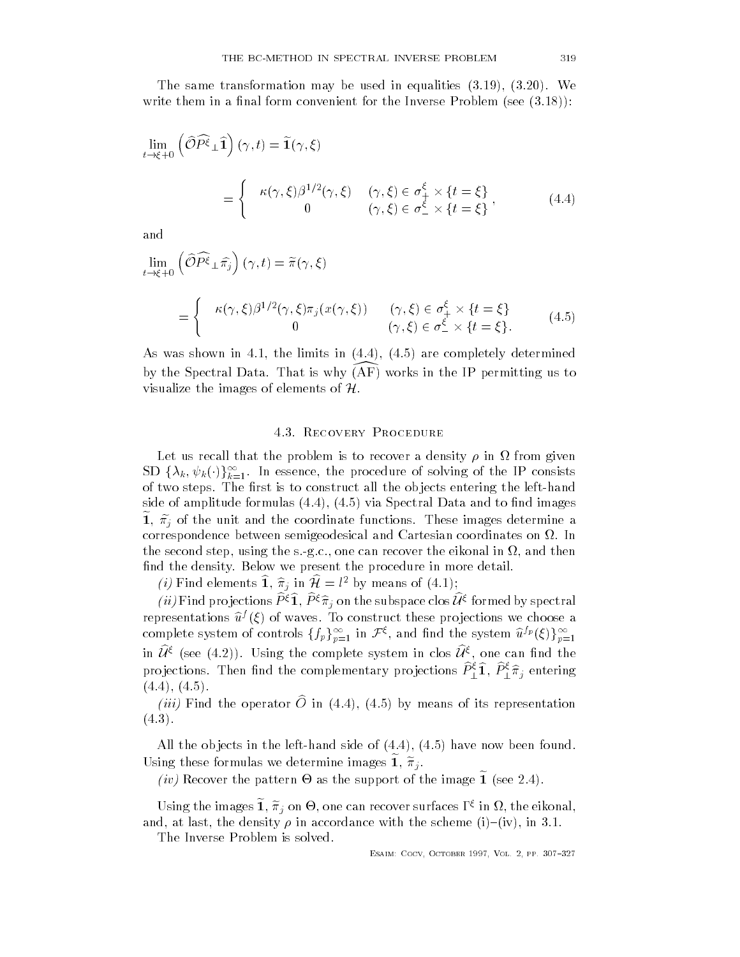The same transformation may be used in equalities  $\mathcal{H} = \{ \mathcal{H} \mid \mathcal{H} = \mathcal{H} \}$ write them in a nal form convenient form convenient form convenient for the Inverse Problem sees - Inverse Problem see - Inverse Problem see - Inverse Problem see - Inverse Problem see - Inverse Problem see - Inverse Probl

$$
\lim_{t \to \xi + 0} \left( \widehat{\mathcal{O}} \widehat{P^{\xi}}_{\perp} \widehat{\mathbf{1}} \right) (\gamma, t) = \widetilde{\mathbf{1}}(\gamma, \xi)
$$
\n
$$
= \begin{cases}\n\kappa(\gamma, \xi) \beta^{1/2}(\gamma, \xi) & (\gamma, \xi) \in \sigma_{+}^{\xi} \times \{t = \xi\} \\
0 & (\gamma, \xi) \in \sigma_{-}^{\xi} \times \{t = \xi\} \n\end{cases},
$$
\n(4.4)

and

$$
\lim_{t \to \xi + 0} \left( \widehat{\mathcal{O}} \widehat{P^{\xi}}_{\perp} \widehat{\pi_j} \right) (\gamma, t) = \widetilde{\pi}(\gamma, \xi)
$$
\n
$$
= \begin{cases}\n\kappa(\gamma, \xi) \beta^{1/2}(\gamma, \xi) \pi_j(x(\gamma, \xi)) & (\gamma, \xi) \in \sigma^{\xi}_{+} \times \{t = \xi\} \\
0 & (\gamma, \xi) \in \sigma^{\xi}_{-} \times \{t = \xi\}.\n\end{cases} (4.5)
$$

 $\mathcal{A}$  was shown in - the limits in - the limits in - the limits in - the complex in - the complex in - the complex in - the complex in - the complex in - the complex in - the complex in - the complex in - the complex i by the Spectral Data. That is why (AF) works in the II-permitting us to visualize the images of elements of  $H$ .

 $\mathcal{L}$  that the problem is to recover a density - in  $\mathcal{L}$  from given a density - in  $\mathcal{L}$ SD  $\{\lambda_k, \psi_k(\cdot)\}_{k=1}^\infty$ . In essence, the procedure of solving of the IP consists of two steps- The rst is to construct all the ob jects entering the lefthand side of amplitude formulas - and images - and to not and to not and to not and to not and to not and to not an 1,  $\pi_i$  of the unit and the coordinate functions. These images determine a correspondence between semigeodesical and Cartesian coordinates on - In the second step using the second step using the s-cover theorem in  $\alpha$ nd the density- Below we present the procedure in more detail-

(*i*) Find elements 1,  $\hat{\pi}_i$  in  $\mathcal{H} = l^2$  by means of (4.1);

*(ii)* Find projections  $P^{\xi}1, P^{\xi}\hat{\pi}_i$  on the subspace clos  $\mathcal{U}^{\xi}$  formed by spectral representations  $u^j$  ( $\xi$ ) of waves. To construct these projections we choose a complete system of controls  $\{f_p\}_{p=1}^\infty$  in  $\mathcal F^\xi,$  and find the system  $\widehat u^{f_p}(\xi)\}_{p=1}^\infty$ in  $\mathcal{U}^{\xi}$  (see (4.2)). Using the complete system in clos  $\mathcal{U}^{\xi}$ , one can find the projections. Then find the complementary projections  $P_{\perp}^{\varsigma}1,\,P_{\perp}^{\varsigma}\tilde{\pi}_j$  entering . . . . .

 $\mu_{ij}$  fund the operator  $\sigma$  in  $\left(\pm . \pm \right)$ ,  $\left(\pm . \sigma\right)$  by means of its representation --

all the objects in the left must be done that  $\mathcal{A}$  is a found of  $\mathcal{A}$  and  $\mathcal{A}$ Using these formulas we determine images 1,  $\pi_i$ .

(*iv*) Recover the pattern  $\Theta$  as the support of the image 1 (see 2.4).

Using the images  $1, \pi_j$  on  $\Theta$ , one can recover surfaces  $\Gamma^{\zeta}$  in  $\Omega$ , the eikonal, and at last the density - in accordance with the scheme in accordance with the scheme in a scheme in a scheme

The Inverse Problem is solved-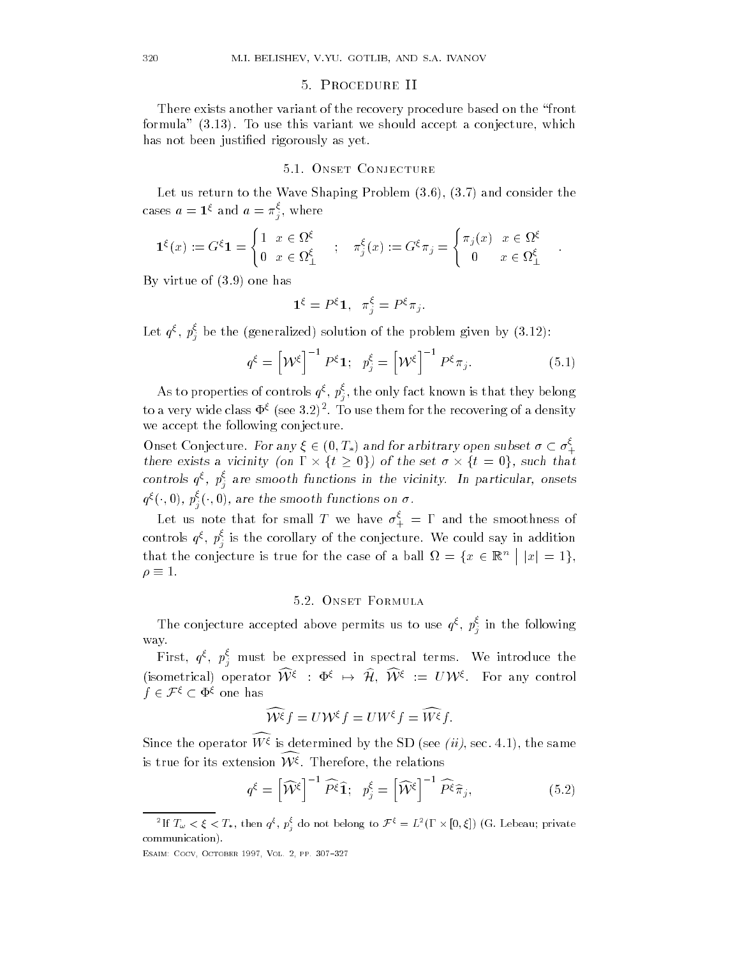# Procedure II

There exists another variant of the recovery procedure based on the "front formula -- To use this variant we should accept a conjecture which has not been justified rigorously as yet.

Let us return to the Wave Shaping Problem - - and consider the cases  $a=1$ s and  $a=\pi$  , w  $j$  where  $j$  where  $j$ 

$$
\mathbf{1}^{\xi}(x) := G^{\xi}\mathbf{1} = \begin{cases} 1 & x \in \Omega^{\xi} \\ 0 & x \in \Omega^{\xi}_{\perp} \end{cases}; \quad \pi^{\xi}_{j}(x) := G^{\xi}\pi_{j} = \begin{cases} \pi_{j}(x) & x \in \Omega^{\xi} \\ 0 & x \in \Omega^{\xi}_{\perp} \end{cases}.
$$

 $\mathbf{v}$  virtue of  $\mathbf{v}$  and  $\mathbf{v}$  and  $\mathbf{v}$  and  $\mathbf{v}$  and  $\mathbf{v}$  and  $\mathbf{v}$  and  $\mathbf{v}$ 

 $\cdot$ 

$$
\mathbf{1}^{\xi} = P^{\xi} \mathbf{1}, \ \ \pi_j^{\xi} = P^{\xi} \pi_j.
$$

Let  $q^s, p^s_j$  be the (generalized) solution of the problem given by  $(3.12)$ :

$$
q^{\xi} = \left[\mathcal{W}^{\xi}\right]^{-1} P^{\xi} \mathbf{1}; \quad p_j^{\xi} = \left[\mathcal{W}^{\xi}\right]^{-1} P^{\xi} \pi_j. \tag{5.1}
$$

As to properties of controls  $q^s$ ,  $p_s^s$ , th  $j$  the only fact the only fact they belong the  $t$ to a very wide class  $\Psi^s$  (see 5.2)". To use them for the recovering of a density we accept the following conjecture.

Onset Conjecture. For any  $\xi \in (0,T_*)$  and for arbitrary open subset  $\sigma \subset \sigma^{\zeta}_{+}$ the contract of the contract of the contract of the contract of the contract of we accept the following conjecture.<br>Onset Conjecture. For any  $\xi \in (0,T_*)$  and for arbitrary open subset  $\sigma \subset \sigma_+^{\xi}$ <br>there exists a vicinity (on  $\Gamma \times \{t \geq 0\}$ ) of the set  $\sigma \times \{t = 0\}$ , such that controls  $q^s$ ,  $p^s$  al  $j$  are smooth functions in the vieling. In particular, onsets  $q^{\xi}(\cdot,0),\,p^{\varsigma}_{j}(\cdot,0),$  are the smooth functions on  $\sigma$  .

Let us note that for small T we have  $\sigma^*_{+} = 1$  and the smoothness of controls  $q^s$ ,  $p^s$  is j is the corollary of the corollary in additional sample  $\mathcal{Y}$ that the conjecture is true for the case of a ball  $\Omega = \{x \in \mathbb{R}^n \mid |x| = 1\},\$  $\rho \equiv 1$ .

The conjecture accepted above permits us to use  $q^s$ ,  $p^s$  in  $j$ n the following  $\sigma$ way-

First,  $q$ °,  $p$  m j must be expectral terms-construction in spectral terms-construction  $\mathbf{F}$ (isometrical) operator  $\mathcal{W}^{\xi}$  :  $\Phi^{\xi} \to \mathcal{H}$ ,  $\mathcal{W}^{\xi}$  :  $U\mathcal{W}^{\xi}$ . For any control  $f \in \mathcal{F}^\xi \subset \Phi^\xi$  one has  $\frac{q}{r}$ <br>netrical<br> $\tau^{\xi} \subset \Phi$ 

$$
\widehat{\mathcal{W}^{\xi}}f = U\mathcal{W}^{\xi}f = UW^{\xi}f = \widehat{W^{\xi}}f.
$$

Since the operator  $W \geq 1$ s determined by the SD (see  $\{u\}$ , sec. 4.1), the same is true for its extension  $\mathcal{W}^\xi.$  Therefore, the relations

$$
q^{\xi} = \left[\widehat{\mathcal{W}}^{\xi}\right]^{-1} \widehat{P^{\xi}} \widehat{\mathbf{1}}; \ \ p_j^{\xi} = \left[\widehat{\mathcal{W}}^{\xi}\right]^{-1} \widehat{P^{\xi}} \widehat{\pi}_j,\tag{5.2}
$$

esance cocopy a cocomet a cocy comet against the coc

<sup>&</sup>lt;sup>2</sup>If  $T_\omega < \xi < T_*$ , then  $q^\xi$ ,  $p_i^\xi$  do not belong to  $\mathcal{F}^\xi = L^2(\Gamma \times [0,\xi])$  (G. Lebeau; private communication).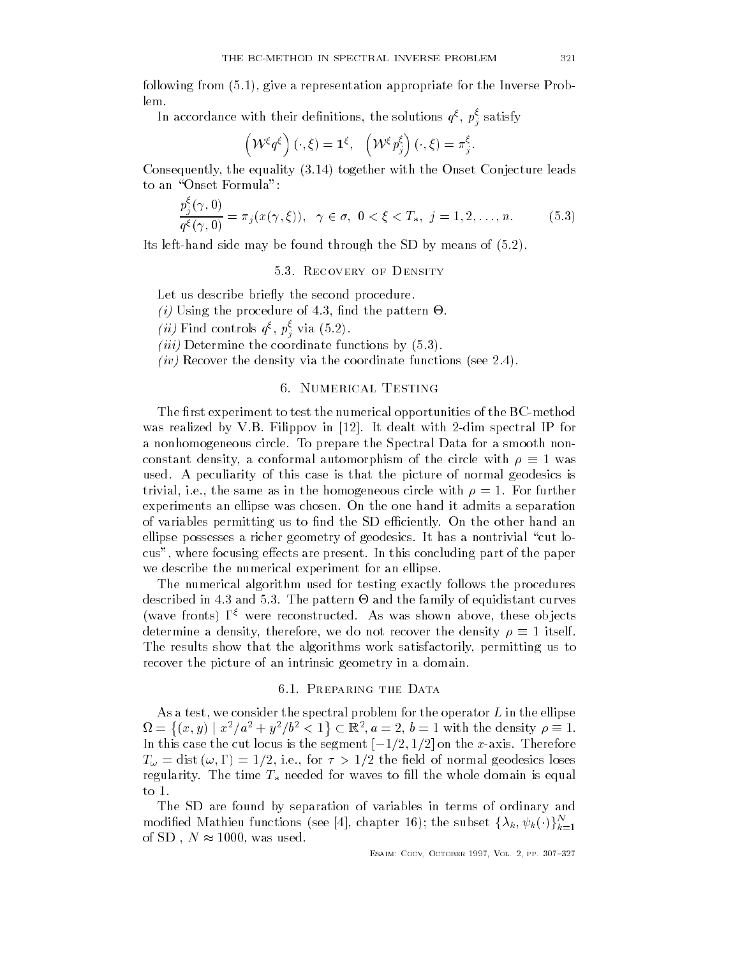following from - give a representation appropriate for the Inverse Prob lem-

In accordance with their definitions, the solutions  $q$ s,  $p_{\tilde{j}}$  satisfy

$$
\left(\mathcal{W}^{\xi}q^{\xi}\right)(\cdot,\xi)=\mathbf{1}^{\xi},\ \ \left(\mathcal{W}^{\xi}p_j^{\xi}\right)(\cdot,\xi)=\pi_j^{\xi}.
$$

Consequently the equality - together with the Onset Conjecture leads to an "Onset Formula":

$$
\frac{p_j^{\xi}(\gamma,0)}{q^{\xi}(\gamma,0)} = \pi_j(x(\gamma,\xi)), \quad \gamma \in \sigma, \ 0 < \xi < T_*, \ j = 1, 2, \dots, n. \tag{5.3}
$$

Its lefthand side may be found through the SD by means of  $\mathcal{A}$ 

Let us describe briefly the second procedure.

- -i Using the procedure of nd the pattern !-
- (*u*) Find controls  $q^s$ ,  $p_i^s$  via (5.2).
- j-iii Determine the coordinate functions by --
- iver the density via the density via the coordinate functions see  $\mathcal{N}$

# 6. NUMERICAL TESTING

The first experiment to test the numerical opportunities of the  $\operatorname{BC}-\operatorname{method}$ was realized by V-R in the spectral IP for the spectral intervals of the spectral IP for the spectral interval a nonhomogeneous circle- To prepare the Spectral Data for a smooth non constant density, a conformal automorphism of the circle with  $\rho \equiv 1$  was used-this case is the picture of this case is the picture of normal geodesics is that the picture of normal geod the same as in the same as in the homogeneous circle with  $\mathbf{f}$ experiments an ellipse was chosen- On the one hand it admits a separation of variables permitting us to nd the SD eciently- On the other hand an ellipse possesses a richer geometry of geodesics- It has a nontrivial cut lo cus where focusing extensive part of the paper of the paper of the paper of the paper of the paper of the paper we describe the numerical experiment for an ellipse-

The numerical algorithm used for testing exactly follows the procedures described in - and the pattern in - and the family of equipment curves in - and the family of equipment curves (wave fronts) I > were reconstructed. As was snown above, these objects determine a density, therefore, we do not recover the density  $\rho \equiv 1$  itself. The results show that the algorithms work satisfactorily, permitting us to recover the picture of an intrinsic geometry in a domain.

As a test, we consider the spectral problem for the operator  $L$  in the ellipse  $\Omega = \{(x, y) \mid x^2/a^2 + y^2/b^2 < 1 \} \subset \mathbb{R}^2, a = 2, b = 1$  with the density  $\rho \equiv 1$ . In this case the cut locus is the segment  $[-1/2,1/2]$  on the x-axis. Therefore T dist i-e- for the eld of normal geodesics loses regularity. The time  $\mathbf{r} *$  iftegra for waves to hir the whole domain is equal to  $1$ .

The SD are found by separation of variables in terms of ordinary and modified Mathieu functions (see [4], chapter 16); the subset  $\{\lambda_k, \psi_k(\cdot)\}_{k=1}^N$ of SD,  $N \approx 1000$ , was used.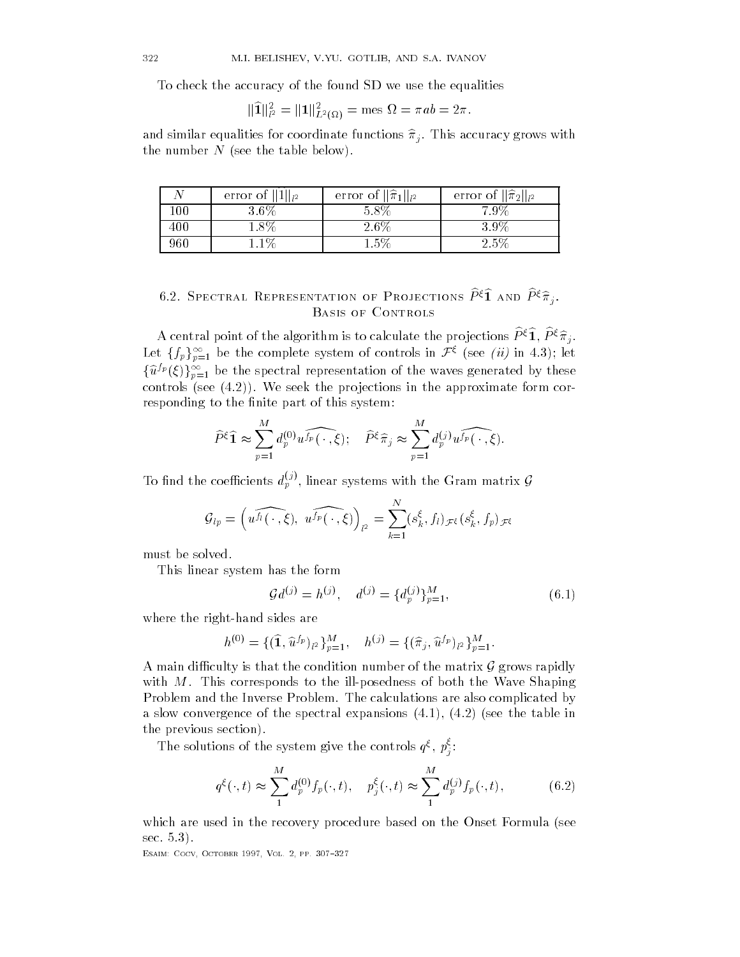To check the accuracy of the found SD we use the equalities

$$
\|\widehat{\textbf{1}}\|_{l^2}^2=\|\textbf{1}\|_{L^2(\Omega)}^2=\text{mes }\Omega=\pi{ab}=2\pi.
$$

and similar equalities for coordinate functions by  $\mathcal{O}$ the number N (see the table below).

|     | error of $  1  _{l^2}$ | error of $\ \widehat{\pi}_1\ _{l^2}$ | error of $\ \widehat{\pi}_2\ _{l^2}$ |
|-----|------------------------|--------------------------------------|--------------------------------------|
| 00  | 3.6%                   | $5.8\%$                              | $7.9\%$                              |
| 400 | $1.8\%$                | 2.6\%                                | $3.9\%$                              |
| 960 | $.1\%$                 | $1.5\%$                              | $2.5\%$                              |

# 6.2. SPECTRAL REPRESENTATION OF PROJECTIONS  $P^{\varsigma}1$  and  $P^{\varsigma}\pi_j$ . BASIS OF CONTROLS

A central point of the algorithm is to calculate the projections  $P^{\varsigma}1, P^{\varsigma}\pi_{i}$ . Let  $\{f_p\}_{p=1}^\infty$  be the complete system of controls in  $\mathcal{F}^\xi$  (see *(ii)* in 4.3); let  $\{\widehat{u}^{I p}(\xi)\}_{p=1}^\infty$  be the spectral representation of the waves generated by these controls see - We see - We see - We see - We see - We see - We see - We see - We see - We see - We see - We se responding to the finite part of this system:

$$
\widehat{P}^{\xi}\widehat{\mathbf{1}} \approx \sum_{p=1}^{M} d_p^{(0)} u^{\widehat{f_p}}(\cdot,\xi); \quad \widehat{P}^{\xi}\widehat{\pi}_j \approx \sum_{p=1}^{M} d_p^{(j)} u^{\widehat{f_p}}(\cdot,\xi).
$$

To find the coefficients  $d_p^{(j)}$ , linear systems with the Gram matrix  ${\cal G}$ 

$$
\mathcal{G}_{lp} = \left( u^{\widehat{f_l}(\,\cdot\,,\,\xi)},\ u^{\widehat{f_p}(\,\cdot\,,\,\xi)} \right)_{l^2} = \sum_{k=1}^N (s_k^{\xi},f_l)_{\mathcal{F}^{\xi}} (s_k^{\xi},f_p)_{\mathcal{F}^{\xi}}
$$

must be solved.

This linear system has the form

$$
\mathcal{G}d^{(j)} = h^{(j)}, \quad d^{(j)} = \{d_p^{(j)}\}_{p=1}^M,\tag{6.1}
$$

where the right-hand sides are

$$
h^{(0)} = \{ (\widehat{1}, \widehat{u}^{f_p})_{l^2} \}_{p=1}^M, \quad h^{(j)} = \{ (\widehat{\pi}_j, \widehat{u}^{f_p})_{l^2} \}_{p=1}^M.
$$

A main difficulty is that the condition number of the matrix  $\mathcal G$  grows rapidly with  $\mathbb{F}_p$  and illeon the illposedness of both the Wave Shaping Shaping Shaping Shaping Shaping Shaping Shaping Shaping Shaping Shaping Shaping Shaping Shaping Shaping Shaping Shaping Shaping Shaping Shaping Shaping S Problem and the Inverse Problem- The calculations are also complicated by and the spectral expectral expectral expectral expectral expectral expectations  $\mathbf{r} = \mathbf{r} \cdot \mathbf{r} = \mathbf{r} \cdot \mathbf{r} = \mathbf{r} \cdot \mathbf{r} = \mathbf{r} \cdot \mathbf{r} = \mathbf{r} \cdot \mathbf{r} = \mathbf{r} \cdot \mathbf{r} = \mathbf{r} \cdot \mathbf{r} = \mathbf{r} \cdot \mathbf{r} = \mathbf{r} \cdot \mathbf{r$ the previous section
-

The solutions of the system give the controls  $q^s$ ,  $p^s$ :

$$
q^{\xi}(\cdot, t) \approx \sum_{1}^{M} d_p^{(0)} f_p(\cdot, t), \quad p_j^{\xi}(\cdot, t) \approx \sum_{1}^{M} d_p^{(j)} f_p(\cdot, t), \quad (6.2)
$$

which are used in the recovery procedure based on the Onset Formula (see ------

esance cocopy a cocomet a cocy comet against the coc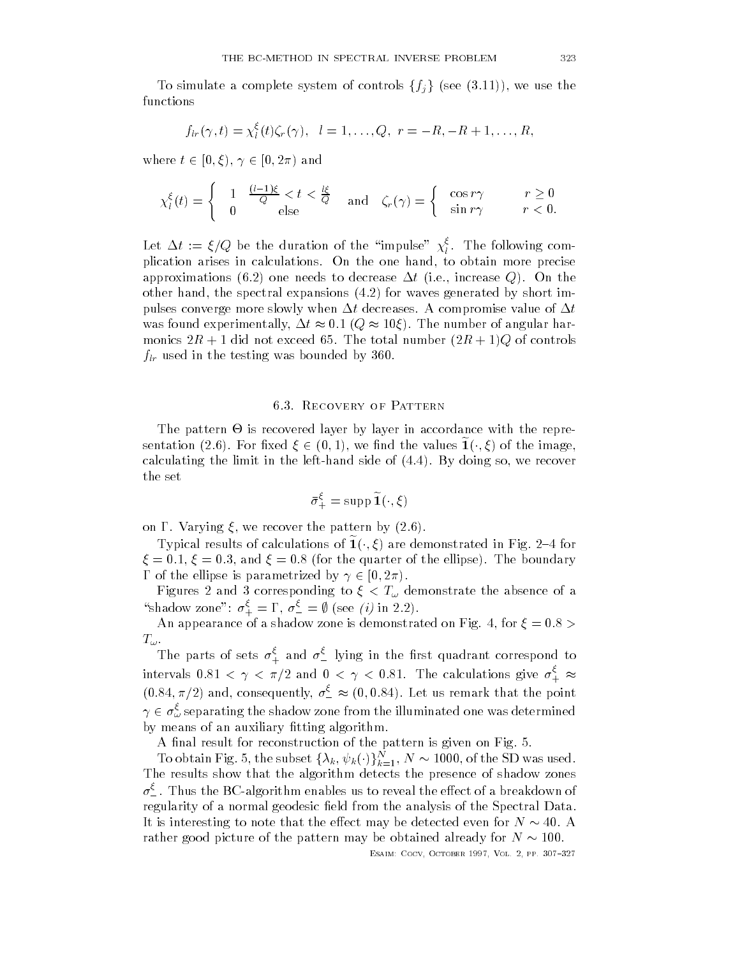To simulate a complete system of controls  $\{f_i\}$  (see (3.11)), we use the functions

$$
f_{lr}(\gamma,t)=\chi_l^{\xi}(t)\zeta_r(\gamma), \quad l=1,\ldots,Q, \quad r=-R,-R+1,\ldots,R,
$$

where  $t \in [0,\xi), \gamma \in [0,2\pi)$  and

$$
\chi_l^{\xi}(t) = \begin{cases} 1 & \frac{(l-1)\xi}{Q} < t < \frac{l\xi}{Q} \\ 0 & \text{else} \end{cases} \quad \text{and} \quad \zeta_r(\gamma) = \begin{cases} \cos r\gamma & r \ge 0 \\ \sin r\gamma & r < 0. \end{cases}
$$

Let  $\Delta t := \xi / Q$  be the duration of the "impulse"  $\chi_l^*$ . The following complication arises in calculations- On the one hand to obtain more precise approximations - and - and - and - and - and - and - and - and - and - and - and - and - and - and - and - and other hand the spectral expansions - for waves generated by short im pulses converge more slowly when t decreases- A compromise value of t was found experimentally,  $\Delta t \approx 0.1$  ( $Q \approx 10 \xi$ ). The number of angular harmonics R  $\sim$  R  $\sim$  R  $\sim$  R  $\sim$  R  $\sim$  R  $\sim$  R  $\sim$  R  $\sim$  R  $\sim$  R  $\sim$  R  $\sim$  R  $\sim$  R  $\sim$  R  $\sim$  R  $\sim$  R  $\sim$  R  $\sim$  R  $\sim$  R  $\sim$  R  $\sim$  R  $\sim$  R  $\sim$  R  $\sim$  R  $\sim$  R  $\sim$  R  $\sim$  R  $\sim$  R  $\sim$  R  $\sim$  R  $\sim$  R  $\$ flr used in the testing was bounded by -

The pattern  $\Theta$  is recovered layer by layer in accordance with the representation (2.6). For fixed  $\xi \in (0,1)$ , we find the values  $\mathbf{1}(\cdot,\xi)$  of the image, calculating the limit in the lefthand side of - lefthand side of - lefthand side of - lefthand side of - lefth the set

$$
\bar{\sigma}_{+}^{\xi} = \operatorname{supp} \widetilde{\mathbf{1}}(\cdot,\xi)
$$

on - Varying - Varying - Varying - Varying - Varying - Varying - Varying - Varying - Varying - Varying - Varyi

Typical results of calculations of  $1(\cdot,\xi)$  are demonstrated in Fig. 2–4 for and the boundary of the contract of the electronic contract of the electronic contract of the electronic contract of the electronic contract of the electronic contract of the electronic contract of the electronic contract  $\Gamma$  of the ellipse is parametrized by  $\gamma \in [0, 2\pi)$ .

Figures and  $\alpha$  absence of absence of absence of absence of absence of absence of absence of absence of absence of absence of absence of absence of absence of absence of absence of absence of absence of absence of absenc "shadow zone":  $\sigma_{+}^{\varsigma} = \Gamma$ ,  $\sigma_{-}^{\varsigma} = \emptyset$  (see *(i)* in 2.2).

An appearance of a shadow zone is demonstrated on Fig- for  $T_\omega$ 

The parts of sets  $\sigma^*_+$  and  $\sigma^*_-$  lying in the first quadrant correspond to intervals  $0.81 < \gamma < \pi/2$  and  $0 < \gamma < 0.81$ . The calculations give  $\sigma_+^{\varsigma} \approx$  $(0.84, \pi/2)$  and, consequently,  $\sigma_-^{\zeta} \approx (0, 0.84)$ . Let us remark that the point  $\gamma \in \sigma_{\omega}^{\varepsilon}$  separating the shadow zone from the illuminated one was determined by means of an auxiliary fitting algorithm.

 $\mathbf{A}$  nal reconstruction of the pattern is given on  $\mathbf{A}$  the pattern is given on  $\mathbf{A}$ 

To obtain Fig. 5, the subset  $\{\lambda_k, \psi_k(\cdot)\}_{k=1}^N, N \thicksim 1000,$  of the SD was used. The results show that the algorithm detects the presence of shadow zones  $\sigma$  . Thus the BC-algorithm enables us to reveal the effect of a breakdown of regularity of a normal geodesic field from the analysis of the Spectral Data. It is interesting to note that the effect may be detected even for  $N\sim 40.$  A rather good picture of the pattern may be obtained already for  $N \sim 100$ .

esant coco october etti, cocco etti etti del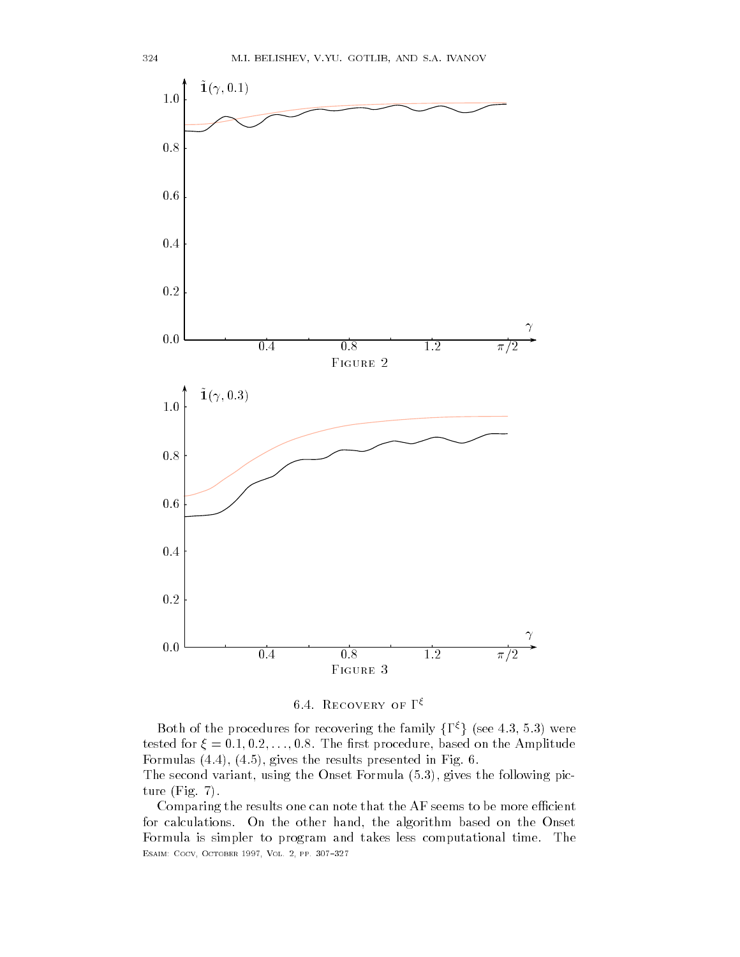



Both of the procedures for recovering the family  $\{\Gamma^{\xi}\}\$  (see 4.3, 5.3) were tested for the restriction of the restriction of the restriction of the Amplitude on the Amplitude on the Amplitude on the Amplitude on the Amplitude on the Amplitude on the Amplitude on the Amplitude on the Amplitude on t Formulas - - 
 gives the results presented in Fig- -

The second variant using the Onset Formula - gives the following pic ture fight the fight of the fight of the fight of the fight of the fight of the fight of the fight of the fight of the fight of the fight of the fight of the fight of the fight of the fight of the fight of the fight of the

Comparing the results one can note that the AF seems to be more efficient for calculations- On the other hand the algorithm based on the Onset Formula is simpler to program and takes less computational time- The esance cocopy a cocomet a cocy comet against the coc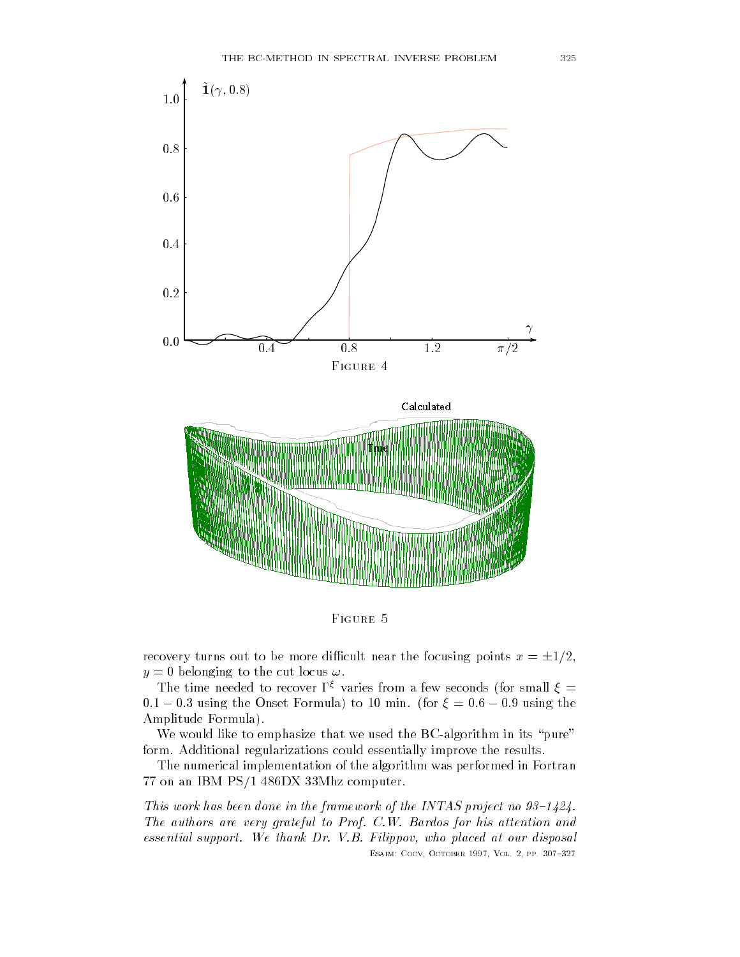

FIGURE 5

recovery turns out to be more difficult near the focusing points  $x = \pm 1/2$ ,  $y = 0$  belonging to the cut locus  $\omega$ .

The time needed to recover  $\Gamma^\xi$  varies from a few seconds (for small  $\xi=$  $0.1 - 0.3$  using the Onset Formula) to 10 min. (for  $\xi = 0.6 - 0.9$  using the Amplitude Formula
-

We would like to emphasize that we used the BC-algorithm in its "pure" form- Additional regularizations could essentially improve the results-

The numerical implementation of the algorithm was performed in Fortran 77 on an IBM PS/1 486DX 33Mhz computer.

This work has been done in the framework of the INTAS project no 
 The authors are very grateful to Prof. C.W. Bardos for his attention and  $essential support. We thank Dr. V.B. Filippov, who placed at our disposal$ 

esant coco october etti, cocco etti etti del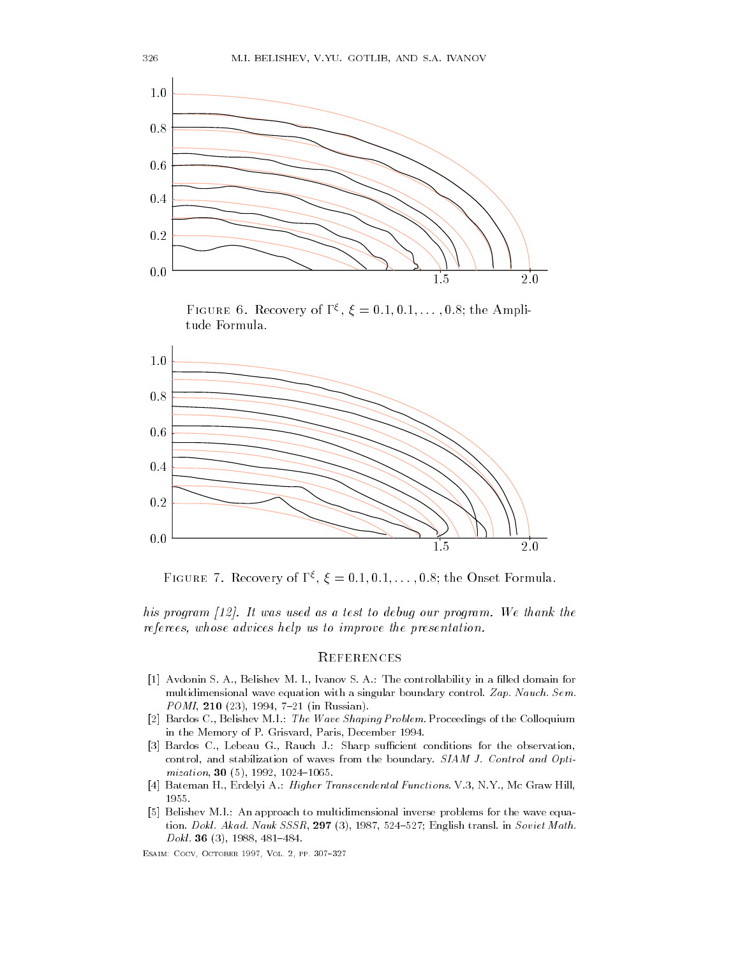

FIGURE 0. Recovery of  $\Gamma$ ,  $\zeta = 0.1, 0.1, \ldots, 0.8$ ; the Amplitude Formula-



**FIGURE 1. Recovery OI 1, 5,**  $\xi = 0.1, 0.1, \ldots, 0.8$ **; the Onset Formula.** 

his program 
 It was used as a test to debug our program We thank the referees, whose advices help us to improve the presentation.

# **REFERENCES**

- Avdonin S- A- Belishev M- I- Ivanov S- A- The controllability in a lled domain for multidimensional wave equations with a singular boundary control- a sign and single POMI - in Russian-
- Bardos C- Belishev M-I- The Wave Shaping Problem- Proceedings of the Colloquium in the Memory of P-1 and  $\alpha$  -P-1 and  $\alpha$  -P-1 and  $\alpha$  -P-1 and  $\alpha$  -P-1 and  $\alpha$
- , and the conditions for the observations for the observations for the observations for the observations of th control and stabilization of waves from the boundary-boundary-boundary-boundary-boundary-boundary-boundary-boundarymization -
- Bateman H- Erdelyi A- Higher Transcendental Functions- V- N-Y- Mc Graw Hill
- I- a common to multi-to multiple and an approach to multiples for the wave equal the wave equal to the wave equa tion- Dokl- Akad- Nauk SSSR English transl- in Soviet Math-Dokl- -

Esaim- Cocv October Vol pp